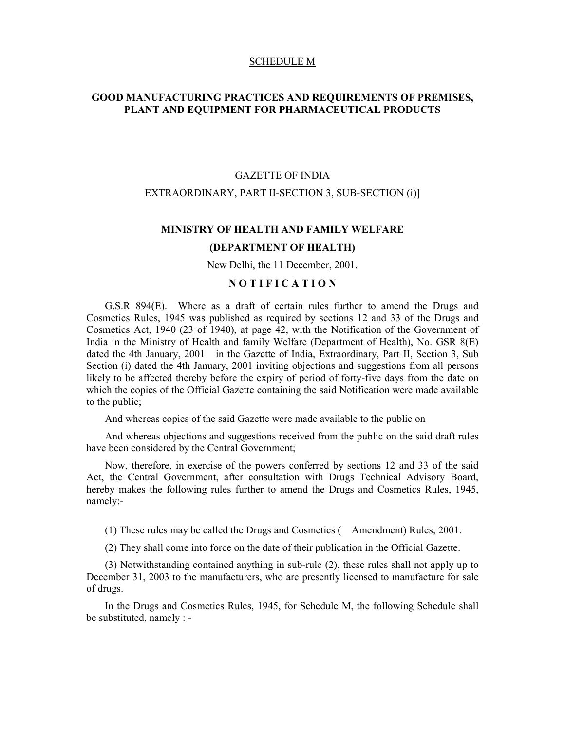#### SCHEDULE M

### GOOD MANUFACTURING PRACTICES AND REQUIREMENTS OF PREMISES, PLANT AND EQUIPMENT FOR PHARMACEUTICAL PRODUCTS

# GAZETTE OF INDIA EXTRAORDINARY, PART II-SECTION 3, SUB-SECTION (i)]

#### MINISTRY OF HEALTH AND FAMILY WELFARE

#### (DEPARTMENT OF HEALTH)

New Delhi, the 11 December, 2001.

### N O T I F I C A T I O N

G.S.R 894(E). Where as a draft of certain rules further to amend the Drugs and Cosmetics Rules, 1945 was published as required by sections 12 and 33 of the Drugs and Cosmetics Act, 1940 (23 of 1940), at page 42, with the Notification of the Government of India in the Ministry of Health and family Welfare (Department of Health), No. GSR 8(E) dated the 4th January, 2001 in the Gazette of India, Extraordinary, Part II, Section 3, Sub Section (i) dated the 4th January, 2001 inviting objections and suggestions from all persons likely to be affected thereby before the expiry of period of forty-five days from the date on which the copies of the Official Gazette containing the said Notification were made available to the public;

And whereas copies of the said Gazette were made available to the public on

And whereas objections and suggestions received from the public on the said draft rules have been considered by the Central Government;

Now, therefore, in exercise of the powers conferred by sections 12 and 33 of the said Act, the Central Government, after consultation with Drugs Technical Advisory Board, hereby makes the following rules further to amend the Drugs and Cosmetics Rules, 1945, namely:-

(1) These rules may be called the Drugs and Cosmetics ( Amendment) Rules, 2001.

(2) They shall come into force on the date of their publication in the Official Gazette.

(3) Notwithstanding contained anything in sub-rule (2), these rules shall not apply up to December 31, 2003 to the manufacturers, who are presently licensed to manufacture for sale of drugs.

In the Drugs and Cosmetics Rules, 1945, for Schedule M, the following Schedule shall be substituted, namely : -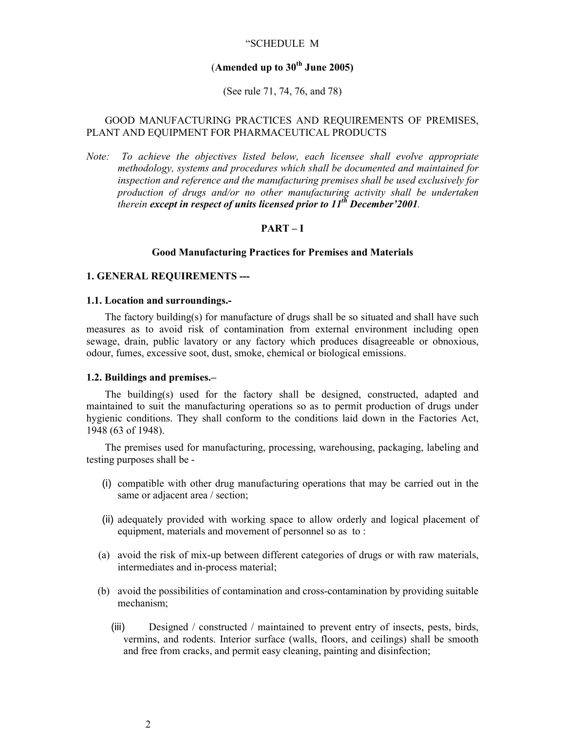#### "SCHEDULE M

# (Amended up to  $30<sup>th</sup>$  June 2005)

(See rule 71, 74, 76, and 78)

#### GOOD MANUFACTURING PRACTICES AND REQUIREMENTS OF PREMISES, PLANT AND EQUIPMENT FOR PHARMACEUTICAL PRODUCTS

*Note: To achieve the objectives listed below, each licensee shall evolve appropriate methodology, systems and procedures which shall be documented and maintained for inspection and reference and the manufacturing premises shall be used exclusively for production of drugs and/or no other manufacturing activity shall be undertaken therein except in respect of units licensed prior to*  $11^{th}$  *December'2001.* 

### PART – I

#### Good Manufacturing Practices for Premises and Materials

#### 1. GENERAL REQUIREMENTS ---

#### 1.1. Location and surroundings.-

The factory building(s) for manufacture of drugs shall be so situated and shall have such measures as to avoid risk of contamination from external environment including open sewage, drain, public lavatory or any factory which produces disagreeable or obnoxious, odour, fumes, excessive soot, dust, smoke, chemical or biological emissions.

#### 1.2. Buildings and premises.–

The building(s) used for the factory shall be designed, constructed, adapted and maintained to suit the manufacturing operations so as to permit production of drugs under hygienic conditions. They shall conform to the conditions laid down in the Factories Act, 1948 (63 of 1948).

The premises used for manufacturing, processing, warehousing, packaging, labeling and testing purposes shall be -

- (i) compatible with other drug manufacturing operations that may be carried out in the same or adjacent area / section;
- (ii) adequately provided with working space to allow orderly and logical placement of equipment, materials and movement of personnel so as to :
- (a) avoid the risk of mix-up between different categories of drugs or with raw materials, intermediates and in-process material;
- (b) avoid the possibilities of contamination and cross-contamination by providing suitable mechanism;
	- (iii) Designed / constructed / maintained to prevent entry of insects, pests, birds, vermins, and rodents. Interior surface (walls, floors, and ceilings) shall be smooth and free from cracks, and permit easy cleaning, painting and disinfection;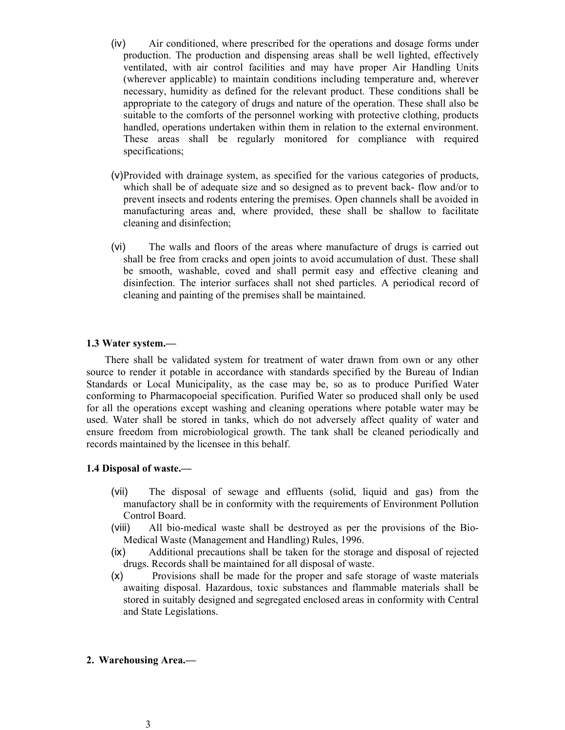- (iv) Air conditioned, where prescribed for the operations and dosage forms under production. The production and dispensing areas shall be well lighted, effectively ventilated, with air control facilities and may have proper Air Handling Units (wherever applicable) to maintain conditions including temperature and, wherever necessary, humidity as defined for the relevant product. These conditions shall be appropriate to the category of drugs and nature of the operation. These shall also be suitable to the comforts of the personnel working with protective clothing, products handled, operations undertaken within them in relation to the external environment. These areas shall be regularly monitored for compliance with required specifications;
- (v) Provided with drainage system, as specified for the various categories of products, which shall be of adequate size and so designed as to prevent back- flow and/or to prevent insects and rodents entering the premises. Open channels shall be avoided in manufacturing areas and, where provided, these shall be shallow to facilitate cleaning and disinfection;
- (vi) The walls and floors of the areas where manufacture of drugs is carried out shall be free from cracks and open joints to avoid accumulation of dust. These shall be smooth, washable, coved and shall permit easy and effective cleaning and disinfection. The interior surfaces shall not shed particles. A periodical record of cleaning and painting of the premises shall be maintained.

#### 1.3 Water system.—

There shall be validated system for treatment of water drawn from own or any other source to render it potable in accordance with standards specified by the Bureau of Indian Standards or Local Municipality, as the case may be, so as to produce Purified Water conforming to Pharmacopoeial specification. Purified Water so produced shall only be used for all the operations except washing and cleaning operations where potable water may be used. Water shall be stored in tanks, which do not adversely affect quality of water and ensure freedom from microbiological growth. The tank shall be cleaned periodically and records maintained by the licensee in this behalf.

### 1.4 Disposal of waste.—

- (vii) The disposal of sewage and effluents (solid, liquid and gas) from the manufactory shall be in conformity with the requirements of Environment Pollution Control Board.
- (viii) All bio-medical waste shall be destroyed as per the provisions of the Bio-Medical Waste (Management and Handling) Rules, 1996.
- (ix) Additional precautions shall be taken for the storage and disposal of rejected drugs. Records shall be maintained for all disposal of waste.
- (x) Provisions shall be made for the proper and safe storage of waste materials awaiting disposal. Hazardous, toxic substances and flammable materials shall be stored in suitably designed and segregated enclosed areas in conformity with Central and State Legislations.

#### 2. Warehousing Area.—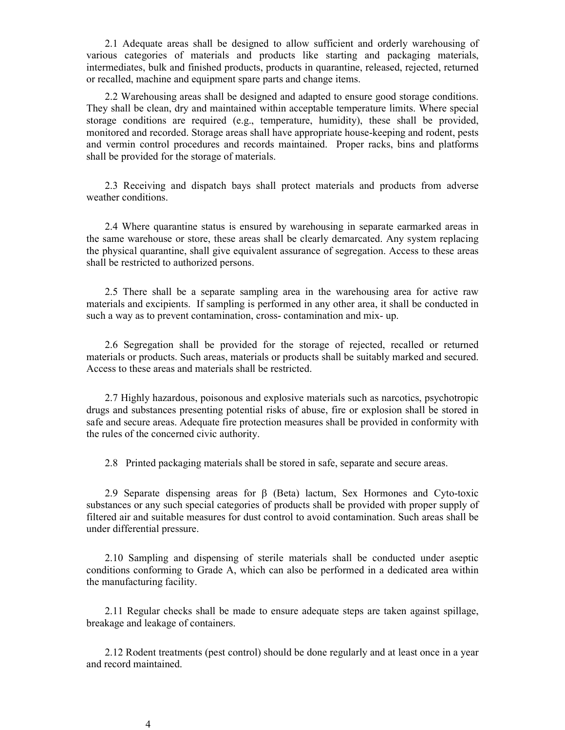2.1 Adequate areas shall be designed to allow sufficient and orderly warehousing of various categories of materials and products like starting and packaging materials, intermediates, bulk and finished products, products in quarantine, released, rejected, returned or recalled, machine and equipment spare parts and change items.

2.2 Warehousing areas shall be designed and adapted to ensure good storage conditions. They shall be clean, dry and maintained within acceptable temperature limits. Where special storage conditions are required (e.g., temperature, humidity), these shall be provided, monitored and recorded. Storage areas shall have appropriate house-keeping and rodent, pests and vermin control procedures and records maintained. Proper racks, bins and platforms shall be provided for the storage of materials.

2.3 Receiving and dispatch bays shall protect materials and products from adverse weather conditions.

2.4 Where quarantine status is ensured by warehousing in separate earmarked areas in the same warehouse or store, these areas shall be clearly demarcated. Any system replacing the physical quarantine, shall give equivalent assurance of segregation. Access to these areas shall be restricted to authorized persons.

2.5 There shall be a separate sampling area in the warehousing area for active raw materials and excipients. If sampling is performed in any other area, it shall be conducted in such a way as to prevent contamination, cross- contamination and mix- up.

2.6 Segregation shall be provided for the storage of rejected, recalled or returned materials or products. Such areas, materials or products shall be suitably marked and secured. Access to these areas and materials shall be restricted.

2.7 Highly hazardous, poisonous and explosive materials such as narcotics, psychotropic drugs and substances presenting potential risks of abuse, fire or explosion shall be stored in safe and secure areas. Adequate fire protection measures shall be provided in conformity with the rules of the concerned civic authority.

2.8 Printed packaging materials shall be stored in safe, separate and secure areas.

2.9 Separate dispensing areas for β (Beta) lactum, Sex Hormones and Cyto-toxic substances or any such special categories of products shall be provided with proper supply of filtered air and suitable measures for dust control to avoid contamination. Such areas shall be under differential pressure.

2.10 Sampling and dispensing of sterile materials shall be conducted under aseptic conditions conforming to Grade A, which can also be performed in a dedicated area within the manufacturing facility.

2.11 Regular checks shall be made to ensure adequate steps are taken against spillage, breakage and leakage of containers.

2.12 Rodent treatments (pest control) should be done regularly and at least once in a year and record maintained.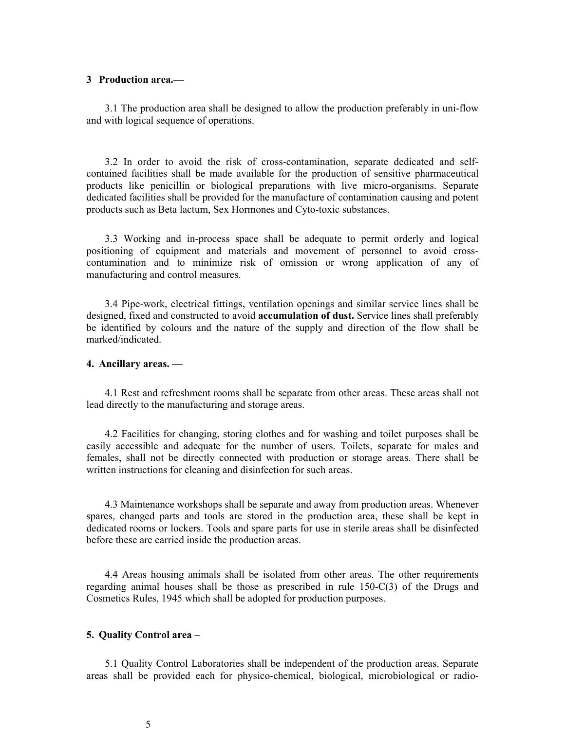#### 3 Production area.—

3.1 The production area shall be designed to allow the production preferably in uni-flow and with logical sequence of operations.

3.2 In order to avoid the risk of cross-contamination, separate dedicated and selfcontained facilities shall be made available for the production of sensitive pharmaceutical products like penicillin or biological preparations with live micro-organisms. Separate dedicated facilities shall be provided for the manufacture of contamination causing and potent products such as Beta lactum, Sex Hormones and Cyto-toxic substances.

3.3 Working and in-process space shall be adequate to permit orderly and logical positioning of equipment and materials and movement of personnel to avoid crosscontamination and to minimize risk of omission or wrong application of any of manufacturing and control measures.

3.4 Pipe-work, electrical fittings, ventilation openings and similar service lines shall be designed, fixed and constructed to avoid **accumulation of dust.** Service lines shall preferably be identified by colours and the nature of the supply and direction of the flow shall be marked/indicated.

#### 4. Ancillary areas. —

4.1 Rest and refreshment rooms shall be separate from other areas. These areas shall not lead directly to the manufacturing and storage areas.

4.2 Facilities for changing, storing clothes and for washing and toilet purposes shall be easily accessible and adequate for the number of users. Toilets, separate for males and females, shall not be directly connected with production or storage areas. There shall be written instructions for cleaning and disinfection for such areas.

4.3 Maintenance workshops shall be separate and away from production areas. Whenever spares, changed parts and tools are stored in the production area, these shall be kept in dedicated rooms or lockers. Tools and spare parts for use in sterile areas shall be disinfected before these are carried inside the production areas.

4.4 Areas housing animals shall be isolated from other areas. The other requirements regarding animal houses shall be those as prescribed in rule 150-C(3) of the Drugs and Cosmetics Rules, 1945 which shall be adopted for production purposes.

#### 5. Quality Control area –

5.1 Quality Control Laboratories shall be independent of the production areas. Separate areas shall be provided each for physico-chemical, biological, microbiological or radio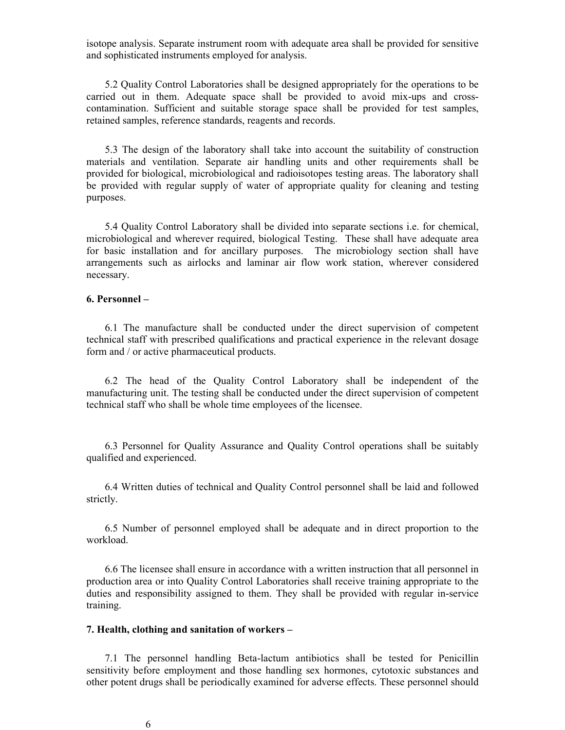isotope analysis. Separate instrument room with adequate area shall be provided for sensitive and sophisticated instruments employed for analysis.

5.2 Quality Control Laboratories shall be designed appropriately for the operations to be carried out in them. Adequate space shall be provided to avoid mix-ups and crosscontamination. Sufficient and suitable storage space shall be provided for test samples, retained samples, reference standards, reagents and records.

5.3 The design of the laboratory shall take into account the suitability of construction materials and ventilation. Separate air handling units and other requirements shall be provided for biological, microbiological and radioisotopes testing areas. The laboratory shall be provided with regular supply of water of appropriate quality for cleaning and testing purposes.

5.4 Quality Control Laboratory shall be divided into separate sections i.e. for chemical, microbiological and wherever required, biological Testing. These shall have adequate area for basic installation and for ancillary purposes. The microbiology section shall have arrangements such as airlocks and laminar air flow work station, wherever considered necessary.

### 6. Personnel –

6.1 The manufacture shall be conducted under the direct supervision of competent technical staff with prescribed qualifications and practical experience in the relevant dosage form and / or active pharmaceutical products.

6.2 The head of the Quality Control Laboratory shall be independent of the manufacturing unit. The testing shall be conducted under the direct supervision of competent technical staff who shall be whole time employees of the licensee.

6.3 Personnel for Quality Assurance and Quality Control operations shall be suitably qualified and experienced.

6.4 Written duties of technical and Quality Control personnel shall be laid and followed strictly.

6.5 Number of personnel employed shall be adequate and in direct proportion to the workload.

6.6 The licensee shall ensure in accordance with a written instruction that all personnel in production area or into Quality Control Laboratories shall receive training appropriate to the duties and responsibility assigned to them. They shall be provided with regular in-service training.

#### 7. Health, clothing and sanitation of workers –

7.1 The personnel handling Beta-lactum antibiotics shall be tested for Penicillin sensitivity before employment and those handling sex hormones, cytotoxic substances and other potent drugs shall be periodically examined for adverse effects. These personnel should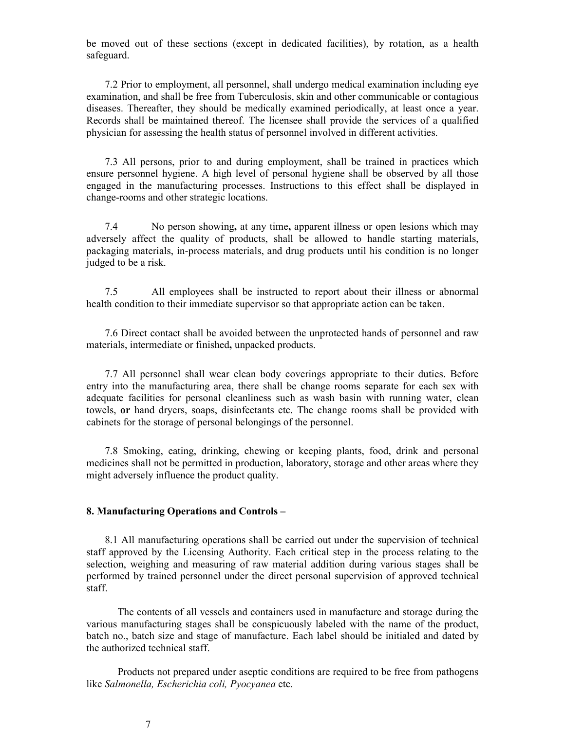be moved out of these sections (except in dedicated facilities), by rotation, as a health safeguard.

7.2 Prior to employment, all personnel, shall undergo medical examination including eye examination, and shall be free from Tuberculosis, skin and other communicable or contagious diseases. Thereafter, they should be medically examined periodically, at least once a year. Records shall be maintained thereof. The licensee shall provide the services of a qualified physician for assessing the health status of personnel involved in different activities.

7.3 All persons, prior to and during employment, shall be trained in practices which ensure personnel hygiene. A high level of personal hygiene shall be observed by all those engaged in the manufacturing processes. Instructions to this effect shall be displayed in change-rooms and other strategic locations.

7.4 No person showing, at any time, apparent illness or open lesions which may adversely affect the quality of products, shall be allowed to handle starting materials, packaging materials, in-process materials, and drug products until his condition is no longer judged to be a risk.

7.5 All employees shall be instructed to report about their illness or abnormal health condition to their immediate supervisor so that appropriate action can be taken.

7.6 Direct contact shall be avoided between the unprotected hands of personnel and raw materials, intermediate or finished, unpacked products.

7.7 All personnel shall wear clean body coverings appropriate to their duties. Before entry into the manufacturing area, there shall be change rooms separate for each sex with adequate facilities for personal cleanliness such as wash basin with running water, clean towels, or hand dryers, soaps, disinfectants etc. The change rooms shall be provided with cabinets for the storage of personal belongings of the personnel.

7.8 Smoking, eating, drinking, chewing or keeping plants, food, drink and personal medicines shall not be permitted in production, laboratory, storage and other areas where they might adversely influence the product quality.

#### 8. Manufacturing Operations and Controls –

8.1 All manufacturing operations shall be carried out under the supervision of technical staff approved by the Licensing Authority. Each critical step in the process relating to the selection, weighing and measuring of raw material addition during various stages shall be performed by trained personnel under the direct personal supervision of approved technical staff.

The contents of all vessels and containers used in manufacture and storage during the various manufacturing stages shall be conspicuously labeled with the name of the product, batch no., batch size and stage of manufacture. Each label should be initialed and dated by the authorized technical staff.

Products not prepared under aseptic conditions are required to be free from pathogens like *Salmonella, Escherichia coli, Pyocyanea* etc.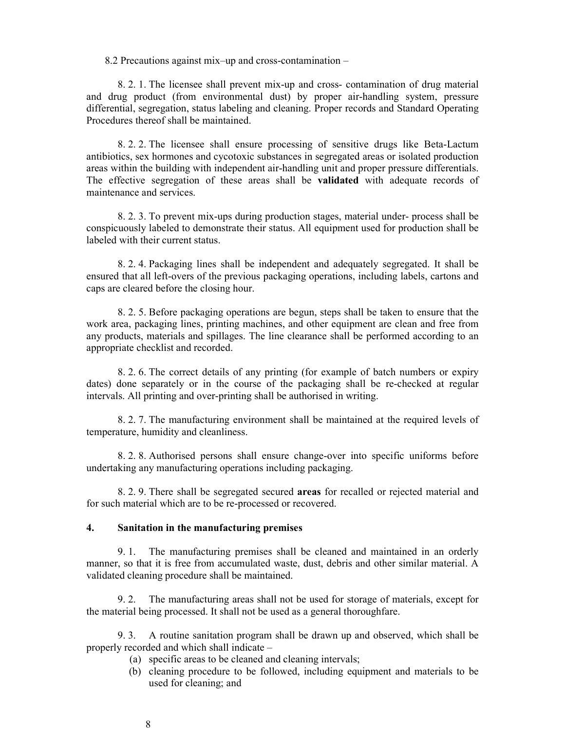8.2 Precautions against mix–up and cross-contamination –

8. 2. 1. The licensee shall prevent mix-up and cross- contamination of drug material and drug product (from environmental dust) by proper air-handling system, pressure differential, segregation, status labeling and cleaning. Proper records and Standard Operating Procedures thereof shall be maintained.

8. 2. 2. The licensee shall ensure processing of sensitive drugs like Beta-Lactum antibiotics, sex hormones and cycotoxic substances in segregated areas or isolated production areas within the building with independent air-handling unit and proper pressure differentials. The effective segregation of these areas shall be validated with adequate records of maintenance and services.

8. 2. 3. To prevent mix-ups during production stages, material under- process shall be conspicuously labeled to demonstrate their status. All equipment used for production shall be labeled with their current status.

8. 2. 4. Packaging lines shall be independent and adequately segregated. It shall be ensured that all left-overs of the previous packaging operations, including labels, cartons and caps are cleared before the closing hour.

8. 2. 5. Before packaging operations are begun, steps shall be taken to ensure that the work area, packaging lines, printing machines, and other equipment are clean and free from any products, materials and spillages. The line clearance shall be performed according to an appropriate checklist and recorded.

8. 2. 6. The correct details of any printing (for example of batch numbers or expiry dates) done separately or in the course of the packaging shall be re-checked at regular intervals. All printing and over-printing shall be authorised in writing.

8. 2. 7. The manufacturing environment shall be maintained at the required levels of temperature, humidity and cleanliness.

8. 2. 8. Authorised persons shall ensure change-over into specific uniforms before undertaking any manufacturing operations including packaging.

8. 2. 9. There shall be segregated secured areas for recalled or rejected material and for such material which are to be re-processed or recovered.

### 4. Sanitation in the manufacturing premises

9. 1. The manufacturing premises shall be cleaned and maintained in an orderly manner, so that it is free from accumulated waste, dust, debris and other similar material. A validated cleaning procedure shall be maintained.

9. 2. The manufacturing areas shall not be used for storage of materials, except for the material being processed. It shall not be used as a general thoroughfare.

9. 3. A routine sanitation program shall be drawn up and observed, which shall be properly recorded and which shall indicate –

- (a) specific areas to be cleaned and cleaning intervals;
- (b) cleaning procedure to be followed, including equipment and materials to be used for cleaning; and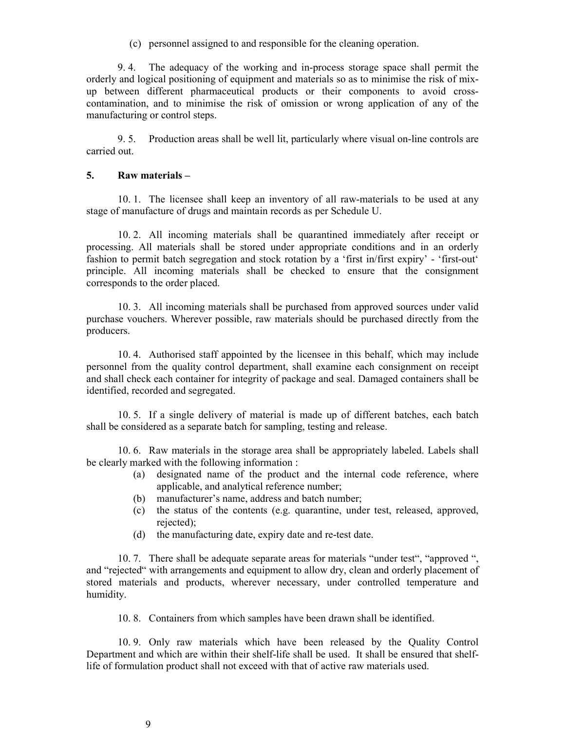(c) personnel assigned to and responsible for the cleaning operation.

9. 4. The adequacy of the working and in-process storage space shall permit the orderly and logical positioning of equipment and materials so as to minimise the risk of mixup between different pharmaceutical products or their components to avoid crosscontamination, and to minimise the risk of omission or wrong application of any of the manufacturing or control steps.

9. 5. Production areas shall be well lit, particularly where visual on-line controls are carried out.

#### 5. Raw materials –

10. 1. The licensee shall keep an inventory of all raw-materials to be used at any stage of manufacture of drugs and maintain records as per Schedule U.

10. 2. All incoming materials shall be quarantined immediately after receipt or processing. All materials shall be stored under appropriate conditions and in an orderly fashion to permit batch segregation and stock rotation by a 'first in/first expiry' - 'first-out' principle. All incoming materials shall be checked to ensure that the consignment corresponds to the order placed.

10. 3. All incoming materials shall be purchased from approved sources under valid purchase vouchers. Wherever possible, raw materials should be purchased directly from the producers.

10. 4. Authorised staff appointed by the licensee in this behalf, which may include personnel from the quality control department, shall examine each consignment on receipt and shall check each container for integrity of package and seal. Damaged containers shall be identified, recorded and segregated.

10. 5. If a single delivery of material is made up of different batches, each batch shall be considered as a separate batch for sampling, testing and release.

10. 6. Raw materials in the storage area shall be appropriately labeled. Labels shall be clearly marked with the following information :

- (a) designated name of the product and the internal code reference, where applicable, and analytical reference number;
- (b) manufacturer's name, address and batch number;
- (c) the status of the contents (e.g. quarantine, under test, released, approved, rejected);
- (d) the manufacturing date, expiry date and re-test date.

10. 7. There shall be adequate separate areas for materials "under test", "approved ", and "rejected" with arrangements and equipment to allow dry, clean and orderly placement of stored materials and products, wherever necessary, under controlled temperature and humidity.

10. 8. Containers from which samples have been drawn shall be identified.

10. 9. Only raw materials which have been released by the Quality Control Department and which are within their shelf-life shall be used. It shall be ensured that shelflife of formulation product shall not exceed with that of active raw materials used.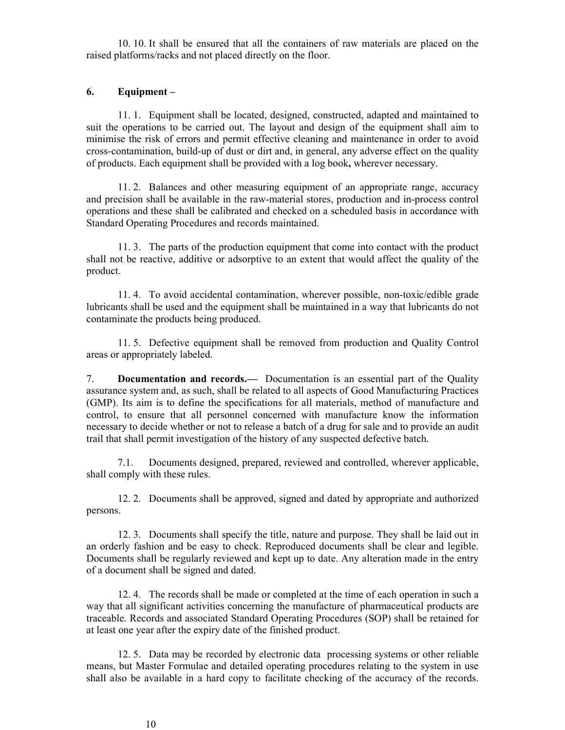10. 10. It shall be ensured that all the containers of raw materials are placed on the raised platforms/racks and not placed directly on the floor.

### 6. Equipment –

11. 1. Equipment shall be located, designed, constructed, adapted and maintained to suit the operations to be carried out. The layout and design of the equipment shall aim to minimise the risk of errors and permit effective cleaning and maintenance in order to avoid cross-contamination, build-up of dust or dirt and, in general, any adverse effect on the quality of products. Each equipment shall be provided with a log book, wherever necessary.

11. 2. Balances and other measuring equipment of an appropriate range, accuracy and precision shall be available in the raw-material stores, production and in-process control operations and these shall be calibrated and checked on a scheduled basis in accordance with Standard Operating Procedures and records maintained.

11. 3. The parts of the production equipment that come into contact with the product shall not be reactive, additive or adsorptive to an extent that would affect the quality of the product.

11. 4. To avoid accidental contamination, wherever possible, non-toxic/edible grade lubricants shall be used and the equipment shall be maintained in a way that lubricants do not contaminate the products being produced.

11. 5. Defective equipment shall be removed from production and Quality Control areas or appropriately labeled.

7. Documentation and records.— Documentation is an essential part of the Quality assurance system and, as such, shall be related to all aspects of Good Manufacturing Practices (GMP). Its aim is to define the specifications for all materials, method of manufacture and control, to ensure that all personnel concerned with manufacture know the information necessary to decide whether or not to release a batch of a drug for sale and to provide an audit trail that shall permit investigation of the history of any suspected defective batch.

7.1. Documents designed, prepared, reviewed and controlled, wherever applicable, shall comply with these rules.

12. 2. Documents shall be approved, signed and dated by appropriate and authorized persons.

12. 3. Documents shall specify the title, nature and purpose. They shall be laid out in an orderly fashion and be easy to check. Reproduced documents shall be clear and legible. Documents shall be regularly reviewed and kept up to date. Any alteration made in the entry of a document shall be signed and dated.

12. 4. The records shall be made or completed at the time of each operation in such a way that all significant activities concerning the manufacture of pharmaceutical products are traceable. Records and associated Standard Operating Procedures (SOP) shall be retained for at least one year after the expiry date of the finished product.

12. 5. Data may be recorded by electronic data processing systems or other reliable means, but Master Formulae and detailed operating procedures relating to the system in use shall also be available in a hard copy to facilitate checking of the accuracy of the records.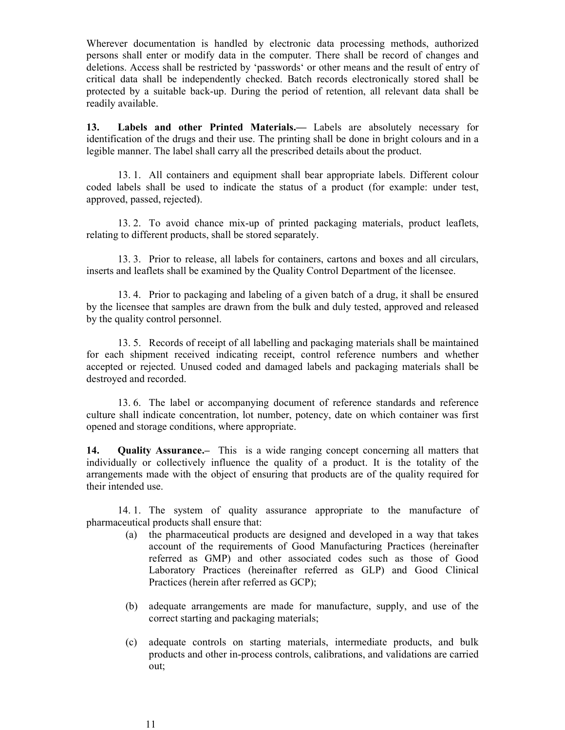Wherever documentation is handled by electronic data processing methods, authorized persons shall enter or modify data in the computer. There shall be record of changes and deletions. Access shall be restricted by 'passwords' or other means and the result of entry of critical data shall be independently checked. Batch records electronically stored shall be protected by a suitable back-up. During the period of retention, all relevant data shall be readily available.

13. Labels and other Printed Materials.— Labels are absolutely necessary for identification of the drugs and their use. The printing shall be done in bright colours and in a legible manner. The label shall carry all the prescribed details about the product.

13. 1. All containers and equipment shall bear appropriate labels. Different colour coded labels shall be used to indicate the status of a product (for example: under test, approved, passed, rejected).

13. 2. To avoid chance mix-up of printed packaging materials, product leaflets, relating to different products, shall be stored separately.

13. 3. Prior to release, all labels for containers, cartons and boxes and all circulars, inserts and leaflets shall be examined by the Quality Control Department of the licensee.

13. 4. Prior to packaging and labeling of a given batch of a drug, it shall be ensured by the licensee that samples are drawn from the bulk and duly tested, approved and released by the quality control personnel.

13. 5. Records of receipt of all labelling and packaging materials shall be maintained for each shipment received indicating receipt, control reference numbers and whether accepted or rejected. Unused coded and damaged labels and packaging materials shall be destroyed and recorded.

13. 6. The label or accompanying document of reference standards and reference culture shall indicate concentration, lot number, potency, date on which container was first opened and storage conditions, where appropriate.

14. Quality Assurance.– This is a wide ranging concept concerning all matters that individually or collectively influence the quality of a product. It is the totality of the arrangements made with the object of ensuring that products are of the quality required for their intended use.

14. 1. The system of quality assurance appropriate to the manufacture of pharmaceutical products shall ensure that:

- (a) the pharmaceutical products are designed and developed in a way that takes account of the requirements of Good Manufacturing Practices (hereinafter referred as GMP) and other associated codes such as those of Good Laboratory Practices (hereinafter referred as GLP) and Good Clinical Practices (herein after referred as GCP);
- (b) adequate arrangements are made for manufacture, supply, and use of the correct starting and packaging materials;
- (c) adequate controls on starting materials, intermediate products, and bulk products and other in-process controls, calibrations, and validations are carried out;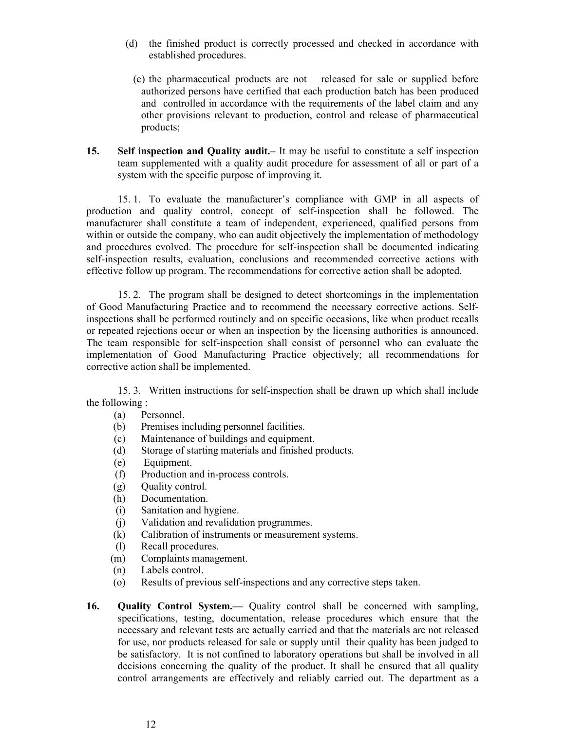- (d) the finished product is correctly processed and checked in accordance with established procedures.
	- (e) the pharmaceutical products are not released for sale or supplied before authorized persons have certified that each production batch has been produced and controlled in accordance with the requirements of the label claim and any other provisions relevant to production, control and release of pharmaceutical products;
- 15. Self inspection and Quality audit.— It may be useful to constitute a self inspection team supplemented with a quality audit procedure for assessment of all or part of a system with the specific purpose of improving it.

15. 1. To evaluate the manufacturer's compliance with GMP in all aspects of production and quality control, concept of self-inspection shall be followed. The manufacturer shall constitute a team of independent, experienced, qualified persons from within or outside the company, who can audit objectively the implementation of methodology and procedures evolved. The procedure for self-inspection shall be documented indicating self-inspection results, evaluation, conclusions and recommended corrective actions with effective follow up program. The recommendations for corrective action shall be adopted.

15. 2. The program shall be designed to detect shortcomings in the implementation of Good Manufacturing Practice and to recommend the necessary corrective actions. Selfinspections shall be performed routinely and on specific occasions, like when product recalls or repeated rejections occur or when an inspection by the licensing authorities is announced. The team responsible for self-inspection shall consist of personnel who can evaluate the implementation of Good Manufacturing Practice objectively; all recommendations for corrective action shall be implemented.

15. 3. Written instructions for self-inspection shall be drawn up which shall include the following :

- (a) Personnel.
- (b) Premises including personnel facilities.
- (c) Maintenance of buildings and equipment.
- (d) Storage of starting materials and finished products.
- (e) Equipment.
- (f) Production and in-process controls.
- (g) Quality control.
- (h) Documentation.
- (i) Sanitation and hygiene.
- (j) Validation and revalidation programmes.
- (k) Calibration of instruments or measurement systems.
- (l) Recall procedures.
- (m) Complaints management.
- (n) Labels control.
- (o) Results of previous self-inspections and any corrective steps taken.
- 16. Quality Control System.— Quality control shall be concerned with sampling, specifications, testing, documentation, release procedures which ensure that the necessary and relevant tests are actually carried and that the materials are not released for use, nor products released for sale or supply until their quality has been judged to be satisfactory. It is not confined to laboratory operations but shall be involved in all decisions concerning the quality of the product. It shall be ensured that all quality control arrangements are effectively and reliably carried out. The department as a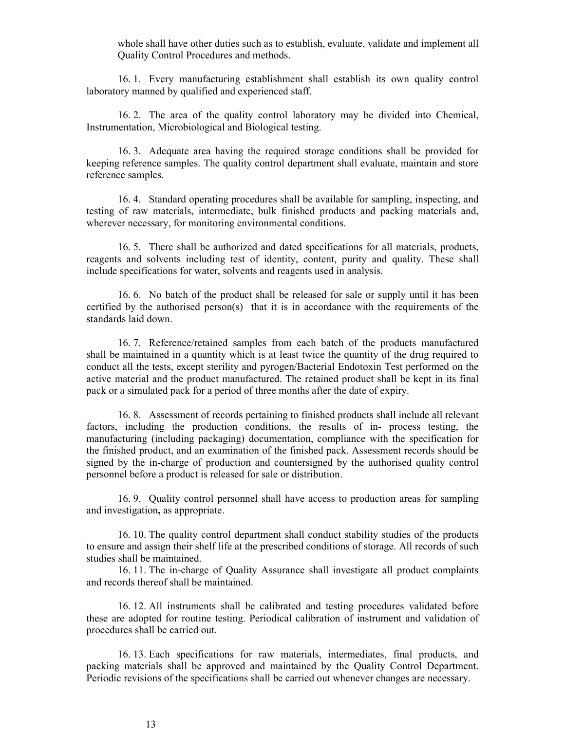whole shall have other duties such as to establish, evaluate, validate and implement all Quality Control Procedures and methods.

16. 1. Every manufacturing establishment shall establish its own quality control laboratory manned by qualified and experienced staff.

16. 2. The area of the quality control laboratory may be divided into Chemical, Instrumentation, Microbiological and Biological testing.

16. 3. Adequate area having the required storage conditions shall be provided for keeping reference samples. The quality control department shall evaluate, maintain and store reference samples.

16. 4. Standard operating procedures shall be available for sampling, inspecting, and testing of raw materials, intermediate, bulk finished products and packing materials and, wherever necessary, for monitoring environmental conditions.

16. 5. There shall be authorized and dated specifications for all materials, products, reagents and solvents including test of identity, content, purity and quality. These shall include specifications for water, solvents and reagents used in analysis.

16. 6. No batch of the product shall be released for sale or supply until it has been certified by the authorised person(s) that it is in accordance with the requirements of the standards laid down.

16. 7. Reference/retained samples from each batch of the products manufactured shall be maintained in a quantity which is at least twice the quantity of the drug required to conduct all the tests, except sterility and pyrogen/Bacterial Endotoxin Test performed on the active material and the product manufactured. The retained product shall be kept in its final pack or a simulated pack for a period of three months after the date of expiry.

16. 8. Assessment of records pertaining to finished products shall include all relevant factors, including the production conditions, the results of in- process testing, the manufacturing (including packaging) documentation, compliance with the specification for the finished product, and an examination of the finished pack. Assessment records should be signed by the in-charge of production and countersigned by the authorised quality control personnel before a product is released for sale or distribution.

16. 9. Quality control personnel shall have access to production areas for sampling and investigation, as appropriate.

16. 10. The quality control department shall conduct stability studies of the products to ensure and assign their shelf life at the prescribed conditions of storage. All records of such studies shall be maintained.

16. 11. The in-charge of Quality Assurance shall investigate all product complaints and records thereof shall be maintained.

16. 12. All instruments shall be calibrated and testing procedures validated before these are adopted for routine testing. Periodical calibration of instrument and validation of procedures shall be carried out.

16. 13. Each specifications for raw materials, intermediates, final products, and packing materials shall be approved and maintained by the Quality Control Department. Periodic revisions of the specifications shall be carried out whenever changes are necessary.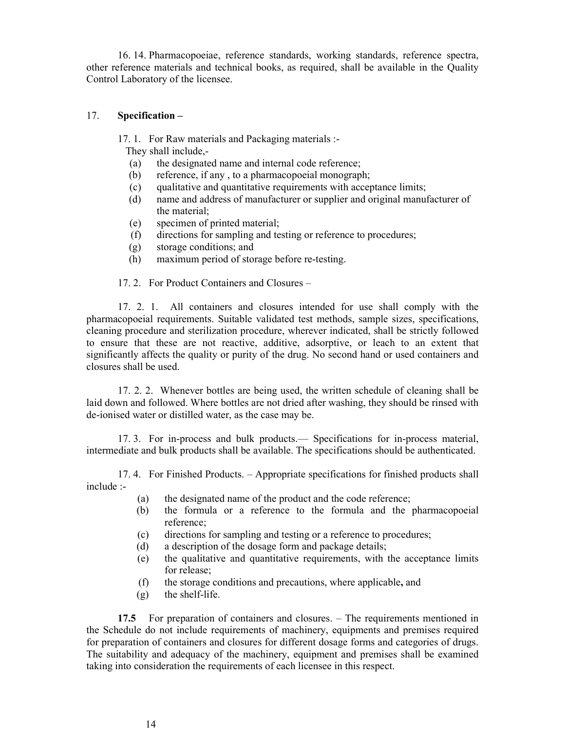16. 14. Pharmacopoeiae, reference standards, working standards, reference spectra, other reference materials and technical books, as required, shall be available in the Quality Control Laboratory of the licensee.

### 17. Specification –

17. 1. For Raw materials and Packaging materials :- They shall include,-

- (a) the designated name and internal code reference;
- (b) reference, if any , to a pharmacopoeial monograph;
- (c) qualitative and quantitative requirements with acceptance limits;
- (d) name and address of manufacturer or supplier and original manufacturer of the material;
- (e) specimen of printed material;
- (f) directions for sampling and testing or reference to procedures;
- (g) storage conditions; and
- (h) maximum period of storage before re-testing.

17. 2. For Product Containers and Closures –

17. 2. 1. All containers and closures intended for use shall comply with the pharmacopoeial requirements. Suitable validated test methods, sample sizes, specifications, cleaning procedure and sterilization procedure, wherever indicated, shall be strictly followed to ensure that these are not reactive, additive, adsorptive, or leach to an extent that significantly affects the quality or purity of the drug. No second hand or used containers and closures shall be used.

17. 2. 2. Whenever bottles are being used, the written schedule of cleaning shall be laid down and followed. Where bottles are not dried after washing, they should be rinsed with de-ionised water or distilled water, as the case may be.

17. 3. For in-process and bulk products.— Specifications for in-process material, intermediate and bulk products shall be available. The specifications should be authenticated.

17. 4. For Finished Products. – Appropriate specifications for finished products shall include :-

- (a) the designated name of the product and the code reference;
- (b) the formula or a reference to the formula and the pharmacopoeial reference;
- (c) directions for sampling and testing or a reference to procedures;
- (d) a description of the dosage form and package details;
- (e) the qualitative and quantitative requirements, with the acceptance limits for release;
- (f) the storage conditions and precautions, where applicable, and
- (g) the shelf-life.

17.5 For preparation of containers and closures. – The requirements mentioned in the Schedule do not include requirements of machinery, equipments and premises required for preparation of containers and closures for different dosage forms and categories of drugs. The suitability and adequacy of the machinery, equipment and premises shall be examined taking into consideration the requirements of each licensee in this respect.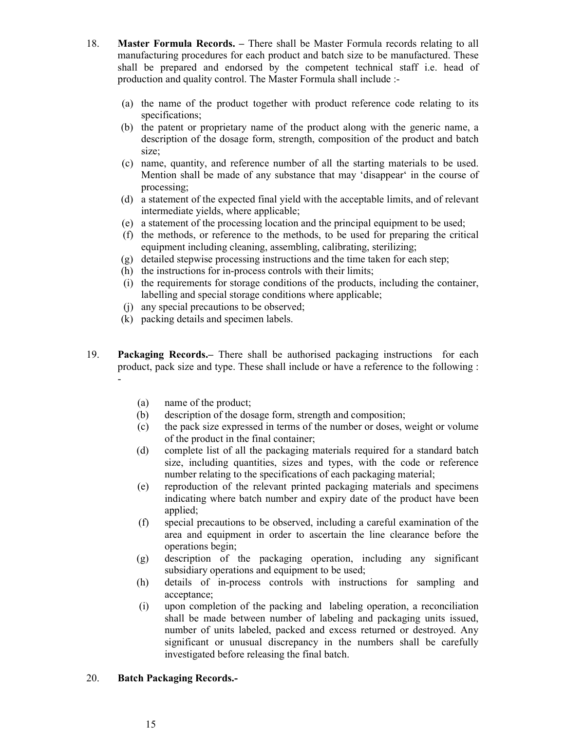- 18. Master Formula Records. There shall be Master Formula records relating to all manufacturing procedures for each product and batch size to be manufactured. These shall be prepared and endorsed by the competent technical staff i.e. head of production and quality control. The Master Formula shall include :-
	- (a) the name of the product together with product reference code relating to its specifications;
	- (b) the patent or proprietary name of the product along with the generic name, a description of the dosage form, strength, composition of the product and batch size;
	- (c) name, quantity, and reference number of all the starting materials to be used. Mention shall be made of any substance that may 'disappear' in the course of processing;
	- (d) a statement of the expected final yield with the acceptable limits, and of relevant intermediate yields, where applicable;
	- (e) a statement of the processing location and the principal equipment to be used;
	- (f) the methods, or reference to the methods, to be used for preparing the critical equipment including cleaning, assembling, calibrating, sterilizing;
	- (g) detailed stepwise processing instructions and the time taken for each step;
	- (h) the instructions for in-process controls with their limits;
	- (i) the requirements for storage conditions of the products, including the container, labelling and special storage conditions where applicable;
	- (j) any special precautions to be observed;
	- (k) packing details and specimen labels.
- 19. Packaging Records.– There shall be authorised packaging instructions for each product, pack size and type. These shall include or have a reference to the following : -
	- (a) name of the product;
	- (b) description of the dosage form, strength and composition;
	- (c) the pack size expressed in terms of the number or doses, weight or volume of the product in the final container;
	- (d) complete list of all the packaging materials required for a standard batch size, including quantities, sizes and types, with the code or reference number relating to the specifications of each packaging material;
	- (e) reproduction of the relevant printed packaging materials and specimens indicating where batch number and expiry date of the product have been applied;
	- (f) special precautions to be observed, including a careful examination of the area and equipment in order to ascertain the line clearance before the operations begin;
	- (g) description of the packaging operation, including any significant subsidiary operations and equipment to be used;
	- (h) details of in-process controls with instructions for sampling and acceptance;
	- (i) upon completion of the packing and labeling operation, a reconciliation shall be made between number of labeling and packaging units issued, number of units labeled, packed and excess returned or destroyed. Any significant or unusual discrepancy in the numbers shall be carefully investigated before releasing the final batch.

### 20. Batch Packaging Records.-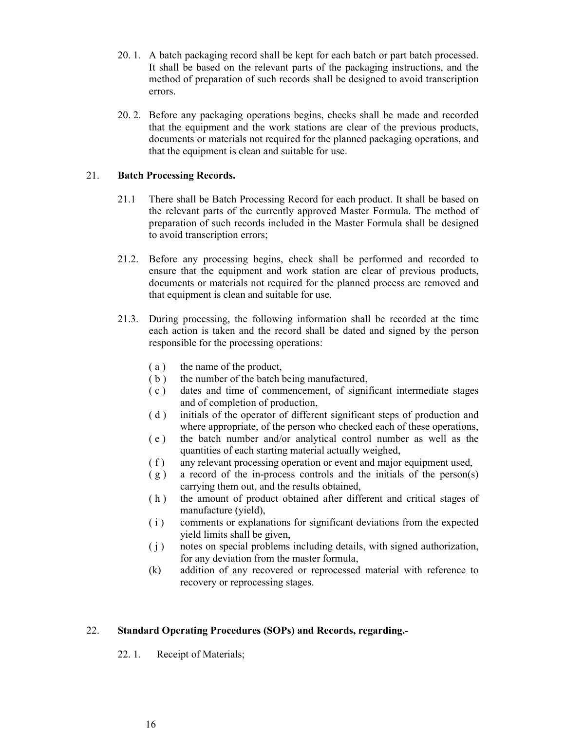- 20. 1. A batch packaging record shall be kept for each batch or part batch processed. It shall be based on the relevant parts of the packaging instructions, and the method of preparation of such records shall be designed to avoid transcription errors.
- 20. 2. Before any packaging operations begins, checks shall be made and recorded that the equipment and the work stations are clear of the previous products, documents or materials not required for the planned packaging operations, and that the equipment is clean and suitable for use.

### 21. Batch Processing Records.

- 21.1 There shall be Batch Processing Record for each product. It shall be based on the relevant parts of the currently approved Master Formula. The method of preparation of such records included in the Master Formula shall be designed to avoid transcription errors;
- 21.2. Before any processing begins, check shall be performed and recorded to ensure that the equipment and work station are clear of previous products, documents or materials not required for the planned process are removed and that equipment is clean and suitable for use.
- 21.3. During processing, the following information shall be recorded at the time each action is taken and the record shall be dated and signed by the person responsible for the processing operations:
	- ( a ) the name of the product,
	- ( b ) the number of the batch being manufactured,
	- ( c ) dates and time of commencement, of significant intermediate stages and of completion of production,
	- ( d ) initials of the operator of different significant steps of production and where appropriate, of the person who checked each of these operations,
	- ( e ) the batch number and/or analytical control number as well as the quantities of each starting material actually weighed,
	- ( f ) any relevant processing operation or event and major equipment used,
	- ( g ) a record of the in-process controls and the initials of the person(s) carrying them out, and the results obtained,
	- (h) the amount of product obtained after different and critical stages of manufacture (yield),
	- ( i ) comments or explanations for significant deviations from the expected yield limits shall be given,
	- ( j ) notes on special problems including details, with signed authorization, for any deviation from the master formula,
	- (k) addition of any recovered or reprocessed material with reference to recovery or reprocessing stages.

# 22. Standard Operating Procedures (SOPs) and Records, regarding.-

22. 1. Receipt of Materials;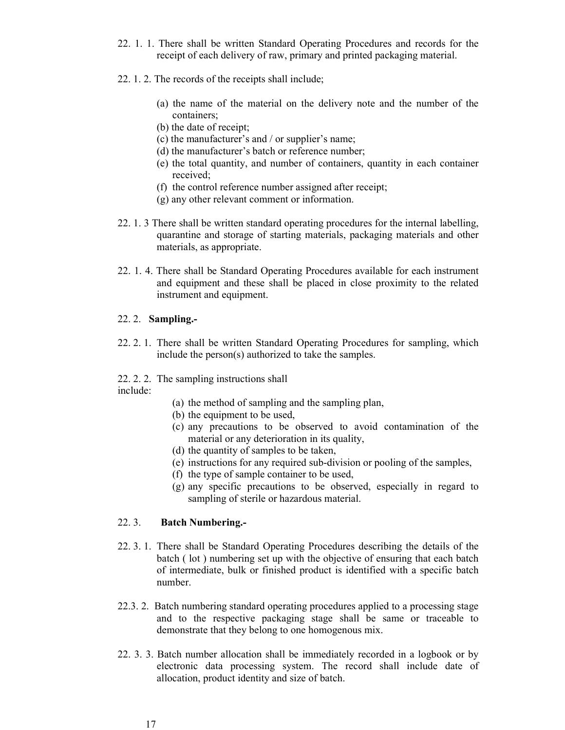- 22. 1. 1. There shall be written Standard Operating Procedures and records for the receipt of each delivery of raw, primary and printed packaging material.
- 22. 1. 2. The records of the receipts shall include;
	- (a) the name of the material on the delivery note and the number of the containers;
	- (b) the date of receipt;
	- (c) the manufacturer's and / or supplier's name;
	- (d) the manufacturer's batch or reference number;
	- (e) the total quantity, and number of containers, quantity in each container received;
	- (f) the control reference number assigned after receipt;
	- (g) any other relevant comment or information.
- 22. 1. 3 There shall be written standard operating procedures for the internal labelling, quarantine and storage of starting materials, packaging materials and other materials, as appropriate.
- 22. 1. 4. There shall be Standard Operating Procedures available for each instrument and equipment and these shall be placed in close proximity to the related instrument and equipment.

### 22. 2. Sampling.-

22. 2. 1. There shall be written Standard Operating Procedures for sampling, which include the person(s) authorized to take the samples.

22. 2. 2. The sampling instructions shall

include:

- (a) the method of sampling and the sampling plan,
- (b) the equipment to be used,
- (c) any precautions to be observed to avoid contamination of the material or any deterioration in its quality,
- (d) the quantity of samples to be taken,
- (e) instructions for any required sub-division or pooling of the samples,
- (f) the type of sample container to be used,
- (g) any specific precautions to be observed, especially in regard to sampling of sterile or hazardous material.

### 22. 3. Batch Numbering.-

- 22. 3. 1. There shall be Standard Operating Procedures describing the details of the batch ( lot ) numbering set up with the objective of ensuring that each batch of intermediate, bulk or finished product is identified with a specific batch number.
- 22.3. 2. Batch numbering standard operating procedures applied to a processing stage and to the respective packaging stage shall be same or traceable to demonstrate that they belong to one homogenous mix.
- 22. 3. 3. Batch number allocation shall be immediately recorded in a logbook or by electronic data processing system. The record shall include date of allocation, product identity and size of batch.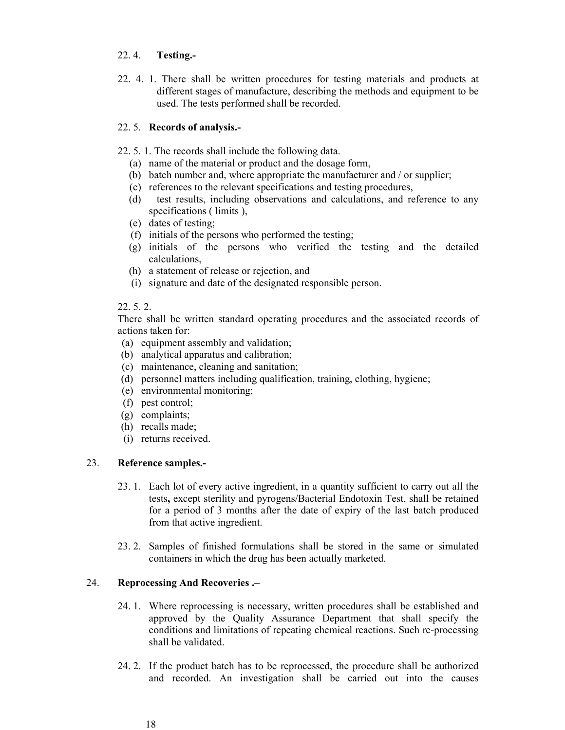# 22. 4. Testing.-

22. 4. 1. There shall be written procedures for testing materials and products at different stages of manufacture, describing the methods and equipment to be used. The tests performed shall be recorded.

# 22. 5. Records of analysis.-

- 22. 5. 1. The records shall include the following data.
	- (a) name of the material or product and the dosage form,
	- (b) batch number and, where appropriate the manufacturer and / or supplier;
	- (c) references to the relevant specifications and testing procedures,
	- (d) test results, including observations and calculations, and reference to any specifications ( limits ),
	- (e) dates of testing;
	- (f) initials of the persons who performed the testing;
	- (g) initials of the persons who verified the testing and the detailed calculations,
	- (h) a statement of release or rejection, and
	- (i) signature and date of the designated responsible person.

# 22. 5. 2.

There shall be written standard operating procedures and the associated records of actions taken for:

- (a) equipment assembly and validation;
- (b) analytical apparatus and calibration;
- (c) maintenance, cleaning and sanitation;
- (d) personnel matters including qualification, training, clothing, hygiene;
- (e) environmental monitoring;
- (f) pest control;
- (g) complaints;
- (h) recalls made;
- (i) returns received.

# 23. Reference samples.-

- 23. 1. Each lot of every active ingredient, in a quantity sufficient to carry out all the tests, except sterility and pyrogens/Bacterial Endotoxin Test, shall be retained for a period of 3 months after the date of expiry of the last batch produced from that active ingredient.
- 23. 2. Samples of finished formulations shall be stored in the same or simulated containers in which the drug has been actually marketed.

# 24. Reprocessing And Recoveries .–

- 24. 1. Where reprocessing is necessary, written procedures shall be established and approved by the Quality Assurance Department that shall specify the conditions and limitations of repeating chemical reactions. Such re-processing shall be validated.
- 24. 2. If the product batch has to be reprocessed, the procedure shall be authorized and recorded. An investigation shall be carried out into the causes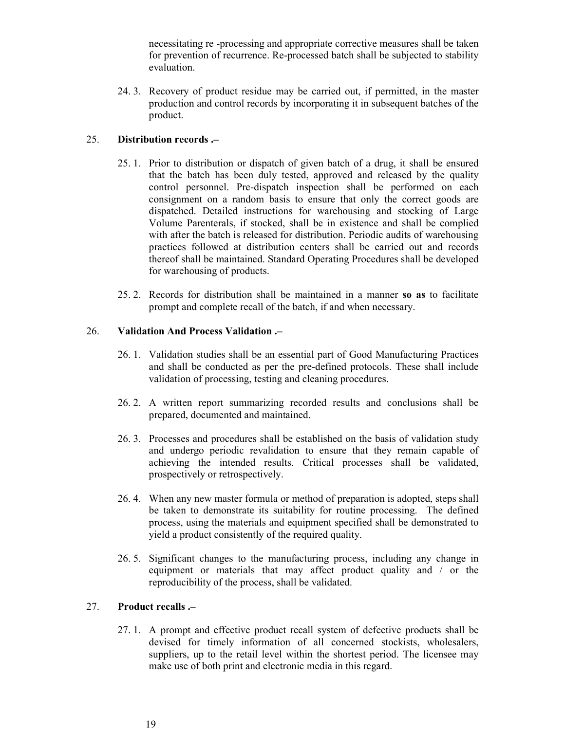necessitating re -processing and appropriate corrective measures shall be taken for prevention of recurrence. Re-processed batch shall be subjected to stability evaluation.

24. 3. Recovery of product residue may be carried out, if permitted, in the master production and control records by incorporating it in subsequent batches of the product.

# 25. Distribution records .–

- 25. 1. Prior to distribution or dispatch of given batch of a drug, it shall be ensured that the batch has been duly tested, approved and released by the quality control personnel. Pre-dispatch inspection shall be performed on each consignment on a random basis to ensure that only the correct goods are dispatched. Detailed instructions for warehousing and stocking of Large Volume Parenterals, if stocked, shall be in existence and shall be complied with after the batch is released for distribution. Periodic audits of warehousing practices followed at distribution centers shall be carried out and records thereof shall be maintained. Standard Operating Procedures shall be developed for warehousing of products.
- 25. 2. Records for distribution shall be maintained in a manner so as to facilitate prompt and complete recall of the batch, if and when necessary.

# 26. Validation And Process Validation .–

- 26. 1. Validation studies shall be an essential part of Good Manufacturing Practices and shall be conducted as per the pre-defined protocols. These shall include validation of processing, testing and cleaning procedures.
- 26. 2. A written report summarizing recorded results and conclusions shall be prepared, documented and maintained.
- 26. 3. Processes and procedures shall be established on the basis of validation study and undergo periodic revalidation to ensure that they remain capable of achieving the intended results. Critical processes shall be validated, prospectively or retrospectively.
- 26. 4. When any new master formula or method of preparation is adopted, steps shall be taken to demonstrate its suitability for routine processing. The defined process, using the materials and equipment specified shall be demonstrated to yield a product consistently of the required quality.
- 26. 5. Significant changes to the manufacturing process, including any change in equipment or materials that may affect product quality and / or the reproducibility of the process, shall be validated.

# 27. Product recalls .–

27. 1. A prompt and effective product recall system of defective products shall be devised for timely information of all concerned stockists, wholesalers, suppliers, up to the retail level within the shortest period. The licensee may make use of both print and electronic media in this regard.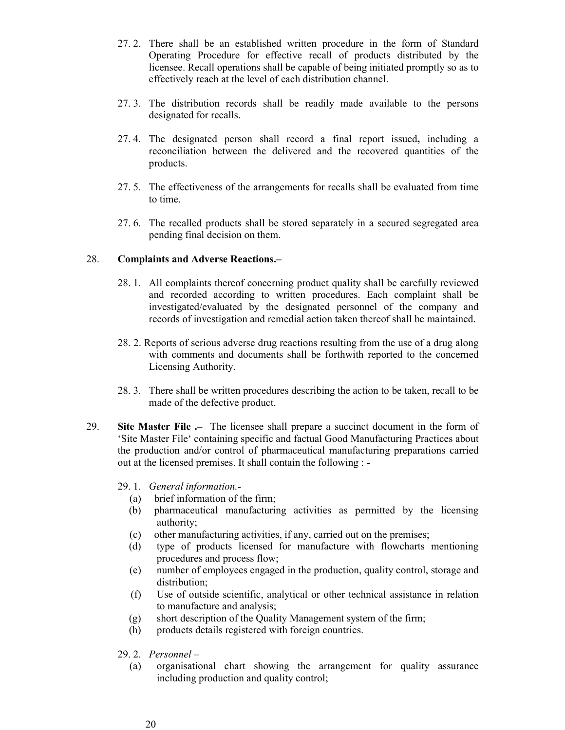- 27. 2. There shall be an established written procedure in the form of Standard Operating Procedure for effective recall of products distributed by the licensee. Recall operations shall be capable of being initiated promptly so as to effectively reach at the level of each distribution channel.
- 27. 3. The distribution records shall be readily made available to the persons designated for recalls.
- 27. 4. The designated person shall record a final report issued, including a reconciliation between the delivered and the recovered quantities of the products.
- 27. 5. The effectiveness of the arrangements for recalls shall be evaluated from time to time.
- 27. 6. The recalled products shall be stored separately in a secured segregated area pending final decision on them.

### 28. Complaints and Adverse Reactions.–

- 28. 1. All complaints thereof concerning product quality shall be carefully reviewed and recorded according to written procedures. Each complaint shall be investigated/evaluated by the designated personnel of the company and records of investigation and remedial action taken thereof shall be maintained.
- 28. 2. Reports of serious adverse drug reactions resulting from the use of a drug along with comments and documents shall be forthwith reported to the concerned Licensing Authority.
- 28. 3. There shall be written procedures describing the action to be taken, recall to be made of the defective product.
- 29. Site Master File .– The licensee shall prepare a succinct document in the form of 'Site Master File' containing specific and factual Good Manufacturing Practices about the production and/or control of pharmaceutical manufacturing preparations carried out at the licensed premises. It shall contain the following : -
	- 29. 1. *General information.-* 
		- (a) brief information of the firm;
		- (b) pharmaceutical manufacturing activities as permitted by the licensing authority;
		- (c) other manufacturing activities, if any, carried out on the premises;
		- (d) type of products licensed for manufacture with flowcharts mentioning procedures and process flow;
		- (e) number of employees engaged in the production, quality control, storage and distribution;
		- (f) Use of outside scientific, analytical or other technical assistance in relation to manufacture and analysis;
		- (g) short description of the Quality Management system of the firm;
		- (h) products details registered with foreign countries.
	- 29. 2. *Personnel*
		- (a) organisational chart showing the arrangement for quality assurance including production and quality control;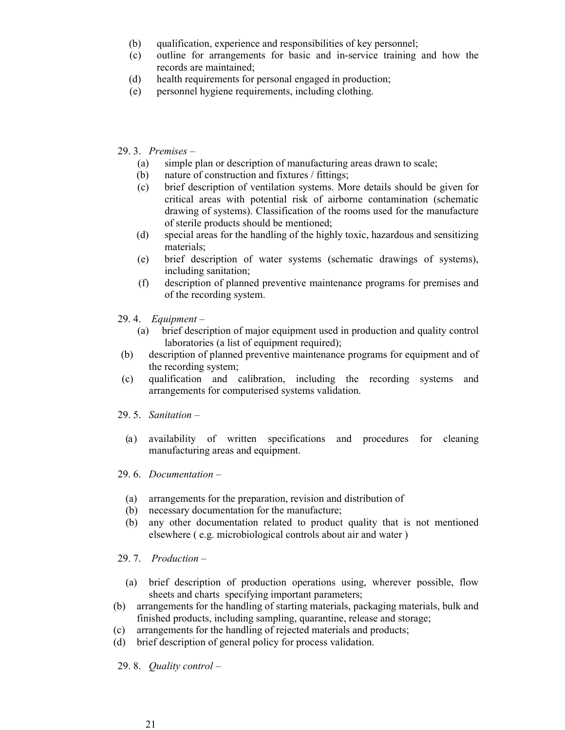- (b) qualification, experience and responsibilities of key personnel;
- (c) outline for arrangements for basic and in-service training and how the records are maintained;
- (d) health requirements for personal engaged in production;
- (e) personnel hygiene requirements, including clothing.

### 29. 3. *Premises* –

- (a) simple plan or description of manufacturing areas drawn to scale;
- (b) nature of construction and fixtures / fittings;
- (c) brief description of ventilation systems. More details should be given for critical areas with potential risk of airborne contamination (schematic drawing of systems). Classification of the rooms used for the manufacture of sterile products should be mentioned;
- (d) special areas for the handling of the highly toxic, hazardous and sensitizing materials;
- (e) brief description of water systems (schematic drawings of systems), including sanitation;
- (f) description of planned preventive maintenance programs for premises and of the recording system.
- 29. 4. *Equipment*
	- (a) brief description of major equipment used in production and quality control laboratories (a list of equipment required);
- (b) description of planned preventive maintenance programs for equipment and of the recording system;
- (c) qualification and calibration, including the recording systems and arrangements for computerised systems validation.
- 29. 5. *Sanitation*
	- (a) availability of written specifications and procedures for cleaning manufacturing areas and equipment.
- 29. 6. *Documentation*
	- (a) arrangements for the preparation, revision and distribution of
	- (b) necessary documentation for the manufacture;
	- (b) any other documentation related to product quality that is not mentioned elsewhere ( e.g. microbiological controls about air and water )

### 29. 7. *Production* –

- (a) brief description of production operations using, wherever possible, flow sheets and charts specifying important parameters;
- (b) arrangements for the handling of starting materials, packaging materials, bulk and finished products, including sampling, quarantine, release and storage;
- (c) arrangements for the handling of rejected materials and products;
- (d) brief description of general policy for process validation.

29. 8. *Quality control* –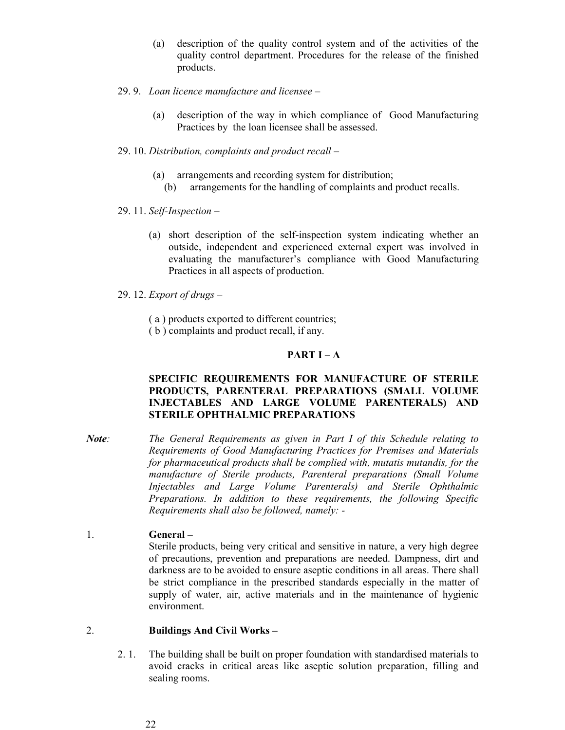- (a) description of the quality control system and of the activities of the quality control department. Procedures for the release of the finished products.
- 29. 9. *Loan licence manufacture and licensee*
	- (a) description of the way in which compliance of Good Manufacturing Practices by the loan licensee shall be assessed.
- 29. 10. *Distribution, complaints and product recall*
	- (a) arrangements and recording system for distribution;
		- (b) arrangements for the handling of complaints and product recalls.
- 29. 11. *Self-Inspection*
	- (a) short description of the self-inspection system indicating whether an outside, independent and experienced external expert was involved in evaluating the manufacturer's compliance with Good Manufacturing Practices in all aspects of production.
- 29. 12. *Export of drugs*
	- ( a ) products exported to different countries;
	- ( b ) complaints and product recall, if any.

### **PART I – A**

### SPECIFIC REQUIREMENTS FOR MANUFACTURE OF STERILE PRODUCTS, PARENTERAL PREPARATIONS (SMALL VOLUME INJECTABLES AND LARGE VOLUME PARENTERALS) AND STERILE OPHTHALMIC PREPARATIONS

Note*: The General Requirements as given in Part I of this Schedule relating to Requirements of Good Manufacturing Practices for Premises and Materials for pharmaceutical products shall be complied with, mutatis mutandis, for the manufacture of Sterile products, Parenteral preparations (Small Volume Injectables and Large Volume Parenterals) and Sterile Ophthalmic Preparations. In addition to these requirements, the following Specific Requirements shall also be followed, namely: -* 

### 1. General –

Sterile products, being very critical and sensitive in nature, a very high degree of precautions, prevention and preparations are needed. Dampness, dirt and darkness are to be avoided to ensure aseptic conditions in all areas. There shall be strict compliance in the prescribed standards especially in the matter of supply of water, air, active materials and in the maintenance of hygienic environment.

### 2. Buildings And Civil Works –

2. 1. The building shall be built on proper foundation with standardised materials to avoid cracks in critical areas like aseptic solution preparation, filling and sealing rooms.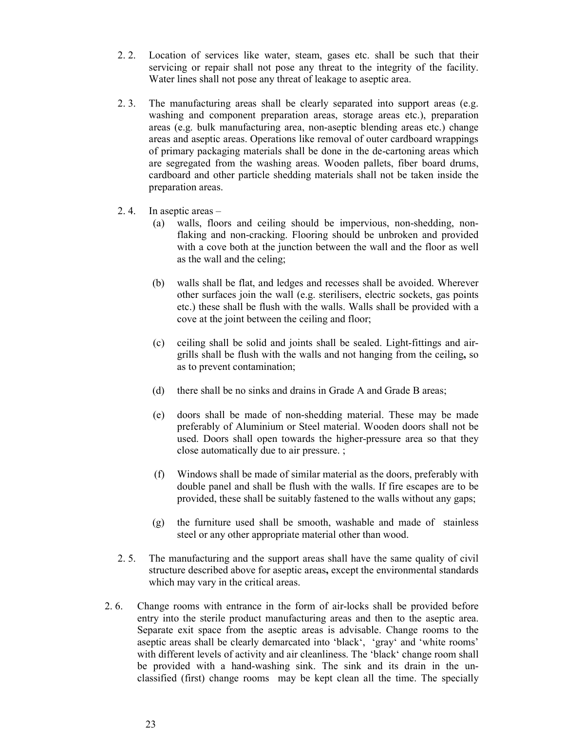- 2. 2. Location of services like water, steam, gases etc. shall be such that their servicing or repair shall not pose any threat to the integrity of the facility. Water lines shall not pose any threat of leakage to aseptic area.
- 2. 3. The manufacturing areas shall be clearly separated into support areas (e.g. washing and component preparation areas, storage areas etc.), preparation areas (e.g. bulk manufacturing area, non-aseptic blending areas etc.) change areas and aseptic areas. Operations like removal of outer cardboard wrappings of primary packaging materials shall be done in the de-cartoning areas which are segregated from the washing areas. Wooden pallets, fiber board drums, cardboard and other particle shedding materials shall not be taken inside the preparation areas.
- 2. 4. In aseptic areas
	- (a) walls, floors and ceiling should be impervious, non-shedding, nonflaking and non-cracking. Flooring should be unbroken and provided with a cove both at the junction between the wall and the floor as well as the wall and the celing;
	- (b) walls shall be flat, and ledges and recesses shall be avoided. Wherever other surfaces join the wall (e.g. sterilisers, electric sockets, gas points etc.) these shall be flush with the walls. Walls shall be provided with a cove at the joint between the ceiling and floor;
	- (c) ceiling shall be solid and joints shall be sealed. Light-fittings and airgrills shall be flush with the walls and not hanging from the ceiling, so as to prevent contamination;
	- (d) there shall be no sinks and drains in Grade A and Grade B areas;
	- (e) doors shall be made of non-shedding material. These may be made preferably of Aluminium or Steel material. Wooden doors shall not be used. Doors shall open towards the higher-pressure area so that they close automatically due to air pressure. ;
	- (f) Windows shall be made of similar material as the doors, preferably with double panel and shall be flush with the walls. If fire escapes are to be provided, these shall be suitably fastened to the walls without any gaps;
	- (g) the furniture used shall be smooth, washable and made of stainless steel or any other appropriate material other than wood.
- 2. 5. The manufacturing and the support areas shall have the same quality of civil structure described above for aseptic areas, except the environmental standards which may vary in the critical areas.
- 2. 6. Change rooms with entrance in the form of air-locks shall be provided before entry into the sterile product manufacturing areas and then to the aseptic area. Separate exit space from the aseptic areas is advisable. Change rooms to the aseptic areas shall be clearly demarcated into 'black', 'gray' and 'white rooms' with different levels of activity and air cleanliness. The 'black' change room shall be provided with a hand-washing sink. The sink and its drain in the unclassified (first) change rooms may be kept clean all the time. The specially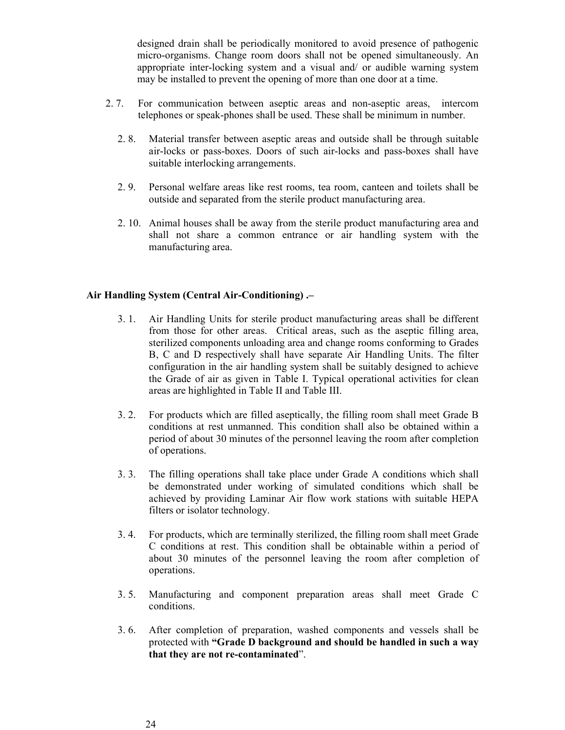designed drain shall be periodically monitored to avoid presence of pathogenic micro-organisms. Change room doors shall not be opened simultaneously. An appropriate inter-locking system and a visual and/ or audible warning system may be installed to prevent the opening of more than one door at a time.

- 2. 7. For communication between aseptic areas and non-aseptic areas, intercom telephones or speak-phones shall be used. These shall be minimum in number.
	- 2. 8. Material transfer between aseptic areas and outside shall be through suitable air-locks or pass-boxes. Doors of such air-locks and pass-boxes shall have suitable interlocking arrangements.
	- 2. 9. Personal welfare areas like rest rooms, tea room, canteen and toilets shall be outside and separated from the sterile product manufacturing area.
	- 2. 10. Animal houses shall be away from the sterile product manufacturing area and shall not share a common entrance or air handling system with the manufacturing area.

### Air Handling System (Central Air-Conditioning) .–

- 3. 1. Air Handling Units for sterile product manufacturing areas shall be different from those for other areas. Critical areas, such as the aseptic filling area, sterilized components unloading area and change rooms conforming to Grades B, C and D respectively shall have separate Air Handling Units. The filter configuration in the air handling system shall be suitably designed to achieve the Grade of air as given in Table I. Typical operational activities for clean areas are highlighted in Table II and Table III.
- 3. 2. For products which are filled aseptically, the filling room shall meet Grade B conditions at rest unmanned. This condition shall also be obtained within a period of about 30 minutes of the personnel leaving the room after completion of operations.
- 3. 3. The filling operations shall take place under Grade A conditions which shall be demonstrated under working of simulated conditions which shall be achieved by providing Laminar Air flow work stations with suitable HEPA filters or isolator technology.
- 3. 4. For products, which are terminally sterilized, the filling room shall meet Grade C conditions at rest. This condition shall be obtainable within a period of about 30 minutes of the personnel leaving the room after completion of operations.
- 3. 5. Manufacturing and component preparation areas shall meet Grade C conditions.
- 3. 6. After completion of preparation, washed components and vessels shall be protected with "Grade D background and should be handled in such a way that they are not re-contaminated".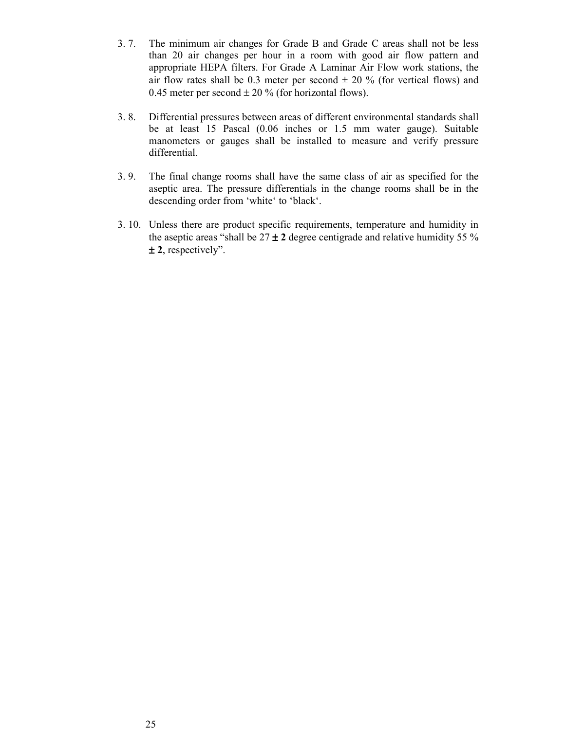- 3. 7. The minimum air changes for Grade B and Grade C areas shall not be less than 20 air changes per hour in a room with good air flow pattern and appropriate HEPA filters. For Grade A Laminar Air Flow work stations, the air flow rates shall be 0.3 meter per second  $\pm$  20 % (for vertical flows) and 0.45 meter per second  $\pm$  20 % (for horizontal flows).
- 3. 8. Differential pressures between areas of different environmental standards shall be at least 15 Pascal (0.06 inches or 1.5 mm water gauge). Suitable manometers or gauges shall be installed to measure and verify pressure differential.
- 3. 9. The final change rooms shall have the same class of air as specified for the aseptic area. The pressure differentials in the change rooms shall be in the descending order from 'white' to 'black'.
- 3. 10. Unless there are product specific requirements, temperature and humidity in the aseptic areas "shall be  $27 \pm 2$  degree centigrade and relative humidity 55 %  $\pm$  2, respectively".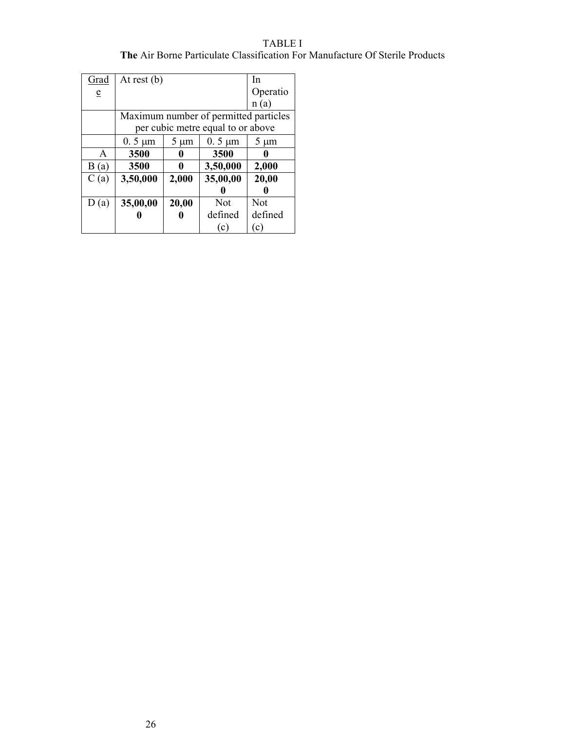# TABLE I The Air Borne Particulate Classification For Manufacture Of Sterile Products

| Grad                     | At rest $(b)$                         |           |             | In        |  |
|--------------------------|---------------------------------------|-----------|-------------|-----------|--|
| $\underline{\mathbf{e}}$ |                                       |           |             | Operatio  |  |
|                          |                                       |           |             | n(a)      |  |
|                          | Maximum number of permitted particles |           |             |           |  |
|                          | per cubic metre equal to or above     |           |             |           |  |
|                          | $0.5 \mu m$                           | $5 \mu m$ | $0.5 \mu m$ | $5 \mu m$ |  |
| A                        | 3500                                  |           | 3500        |           |  |
|                          |                                       |           |             |           |  |
| B(a)                     | 3500                                  | 0         | 3,50,000    | 2,000     |  |
| C(a)                     | 3,50,000                              | 2,000     | 35,00,00    | 20,00     |  |
|                          |                                       |           |             |           |  |
| D(a)                     | 35,00,00                              | 20,00     | <b>Not</b>  | Not       |  |
|                          |                                       |           | defined     | defined   |  |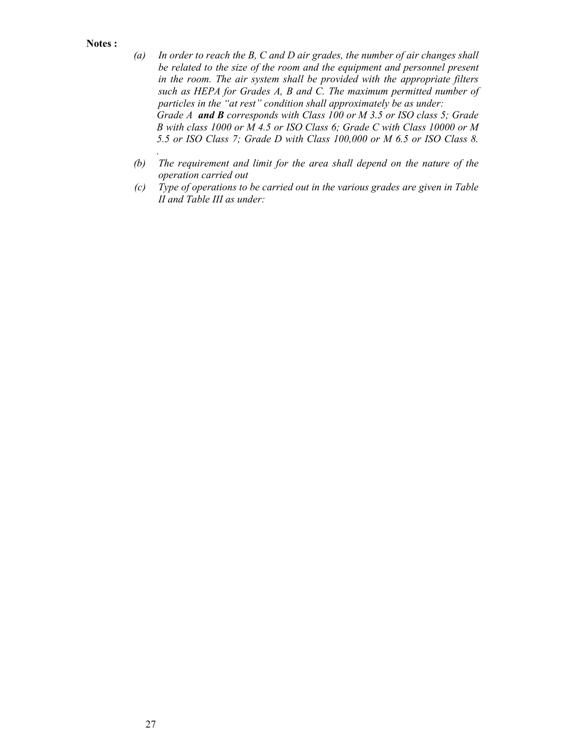#### Notes :

*.* 

*(a) In order to reach the B, C and D air grades, the number of air changes shall be related to the size of the room and the equipment and personnel present in the room. The air system shall be provided with the appropriate filters such as HEPA for Grades A, B and C. The maximum permitted number of particles in the "at rest" condition shall approximately be as under: Grade A* and B *corresponds with Class 100 or M 3.5 or ISO class 5; Grade B with class 1000 or M 4.5 or ISO Class 6; Grade C with Class 10000 or M 5.5 or ISO Class 7; Grade D with Class 100,000 or M 6.5 or ISO Class 8.* 

- *(b) The requirement and limit for the area shall depend on the nature of the operation carried out*
- *(c) Type of operations to be carried out in the various grades are given in Table II and Table III as under:*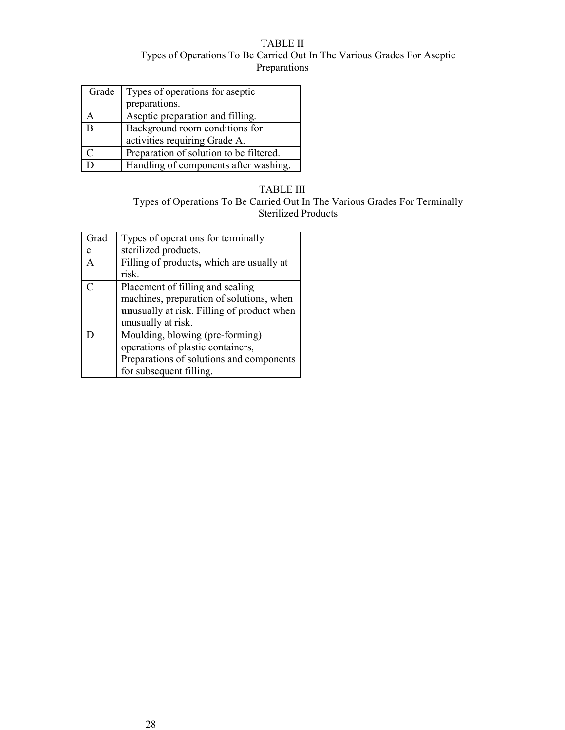### TABLE II Types of Operations To Be Carried Out In The Various Grades For Aseptic Preparations

| Grade          | Types of operations for aseptic         |  |
|----------------|-----------------------------------------|--|
|                | preparations.                           |  |
|                | Aseptic preparation and filling.        |  |
| $\overline{B}$ | Background room conditions for          |  |
|                | activities requiring Grade A.           |  |
|                | Preparation of solution to be filtered. |  |
|                | Handling of components after washing.   |  |

# TABLE III

# Types of Operations To Be Carried Out In The Various Grades For Terminally Sterilized Products

| Grad          | Types of operations for terminally         |
|---------------|--------------------------------------------|
| e             | sterilized products.                       |
| A             | Filling of products, which are usually at  |
|               | risk.                                      |
| $\mathcal{C}$ | Placement of filling and sealing           |
|               | machines, preparation of solutions, when   |
|               | unusually at risk. Filling of product when |
|               | unusually at risk.                         |
| D             | Moulding, blowing (pre-forming)            |
|               | operations of plastic containers,          |
|               | Preparations of solutions and components   |
|               | for subsequent filling.                    |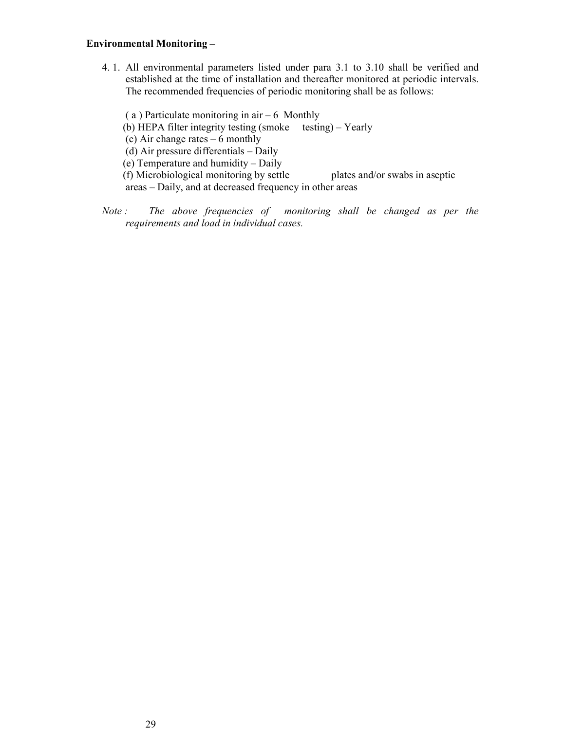### Environmental Monitoring –

4. 1. All environmental parameters listed under para 3.1 to 3.10 shall be verified and established at the time of installation and thereafter monitored at periodic intervals. The recommended frequencies of periodic monitoring shall be as follows:

 $(a)$  Particulate monitoring in air – 6 Monthly (b) HEPA filter integrity testing (smoke testing) – Yearly (c) Air change rates – 6 monthly (d) Air pressure differentials – Daily (e) Temperature and humidity – Daily (f) Microbiological monitoring by settle plates and/or swabs in aseptic areas – Daily, and at decreased frequency in other areas

*Note : The above frequencies of monitoring shall be changed as per the requirements and load in individual cases.*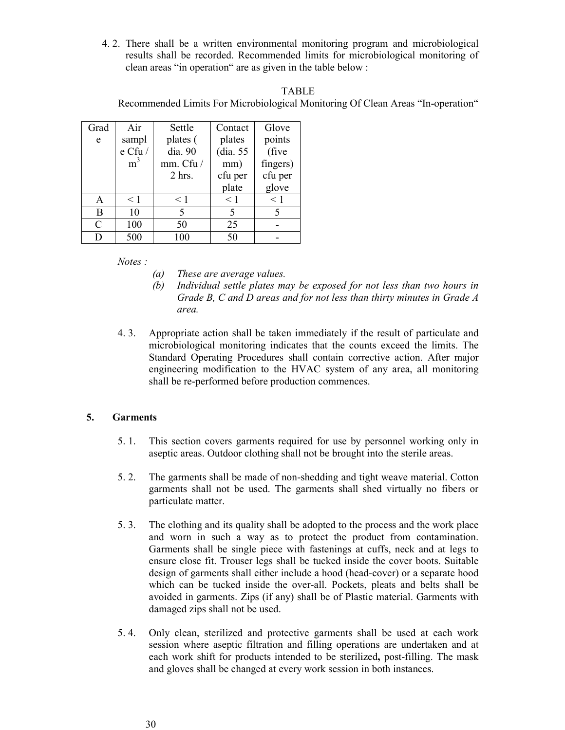4. 2. There shall be a written environmental monitoring program and microbiological results shall be recorded. Recommended limits for microbiological monitoring of clean areas "in operation" are as given in the table below :

#### TABLE

Recommended Limits For Microbiological Monitoring Of Clean Areas "In-operation"

| Grad          | Air            | Settle   | Contact  | Glove    |
|---------------|----------------|----------|----------|----------|
| e             | sampl          | plates ( | plates   | points   |
|               | e Cfu /        | dia. 90  | (dia. 55 | (five    |
|               | m <sup>3</sup> | mm. Cfu/ | mm)      | fingers) |
|               |                | $2$ hrs. | cfu per  | cfu per  |
|               |                |          | plate    | glove    |
| A             | $\leq 1$       | $\leq 1$ | < 1      | < 1      |
| B             | 10             | 5        | 5        |          |
| $\mathcal{C}$ | 100            | 50       | 25       |          |
| D             | 500            | 100      | 50       |          |

 *Notes :* 

- *(a) These are average values.*
- *(b) Individual settle plates may be exposed for not less than two hours in Grade B, C and D areas and for not less than thirty minutes in Grade A area.*
- 4. 3. Appropriate action shall be taken immediately if the result of particulate and microbiological monitoring indicates that the counts exceed the limits. The Standard Operating Procedures shall contain corrective action. After major engineering modification to the HVAC system of any area, all monitoring shall be re-performed before production commences.

### 5. Garments

- 5. 1. This section covers garments required for use by personnel working only in aseptic areas. Outdoor clothing shall not be brought into the sterile areas.
- 5. 2. The garments shall be made of non-shedding and tight weave material. Cotton garments shall not be used. The garments shall shed virtually no fibers or particulate matter.
- 5. 3. The clothing and its quality shall be adopted to the process and the work place and worn in such a way as to protect the product from contamination. Garments shall be single piece with fastenings at cuffs, neck and at legs to ensure close fit. Trouser legs shall be tucked inside the cover boots. Suitable design of garments shall either include a hood (head-cover) or a separate hood which can be tucked inside the over-all. Pockets, pleats and belts shall be avoided in garments. Zips (if any) shall be of Plastic material. Garments with damaged zips shall not be used.
- 5. 4. Only clean, sterilized and protective garments shall be used at each work session where aseptic filtration and filling operations are undertaken and at each work shift for products intended to be sterilized, post-filling. The mask and gloves shall be changed at every work session in both instances.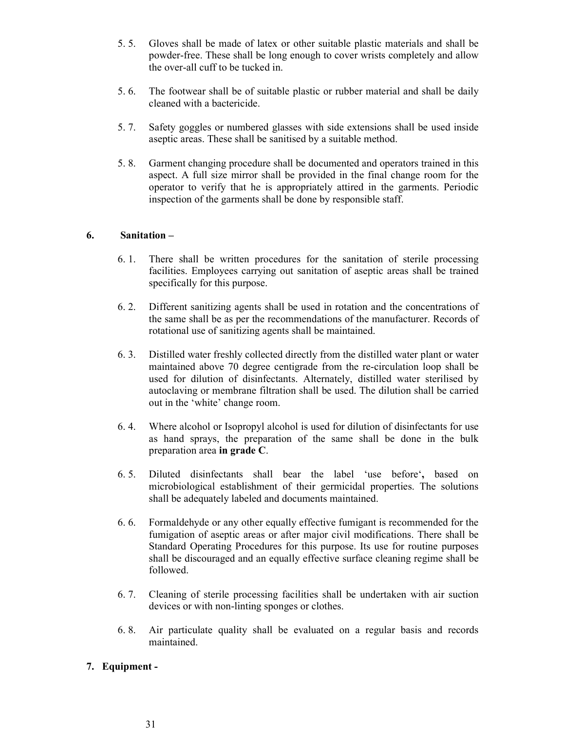- 5. 5. Gloves shall be made of latex or other suitable plastic materials and shall be powder-free. These shall be long enough to cover wrists completely and allow the over-all cuff to be tucked in.
- 5. 6. The footwear shall be of suitable plastic or rubber material and shall be daily cleaned with a bactericide.
- 5. 7. Safety goggles or numbered glasses with side extensions shall be used inside aseptic areas. These shall be sanitised by a suitable method.
- 5. 8. Garment changing procedure shall be documented and operators trained in this aspect. A full size mirror shall be provided in the final change room for the operator to verify that he is appropriately attired in the garments. Periodic inspection of the garments shall be done by responsible staff.

### 6. Sanitation –

- 6. 1. There shall be written procedures for the sanitation of sterile processing facilities. Employees carrying out sanitation of aseptic areas shall be trained specifically for this purpose.
- 6. 2. Different sanitizing agents shall be used in rotation and the concentrations of the same shall be as per the recommendations of the manufacturer. Records of rotational use of sanitizing agents shall be maintained.
- 6. 3. Distilled water freshly collected directly from the distilled water plant or water maintained above 70 degree centigrade from the re-circulation loop shall be used for dilution of disinfectants. Alternately, distilled water sterilised by autoclaving or membrane filtration shall be used. The dilution shall be carried out in the 'white' change room.
- 6. 4. Where alcohol or Isopropyl alcohol is used for dilution of disinfectants for use as hand sprays, the preparation of the same shall be done in the bulk preparation area in grade C.
- 6. 5. Diluted disinfectants shall bear the label 'use before', based on microbiological establishment of their germicidal properties. The solutions shall be adequately labeled and documents maintained.
- 6. 6. Formaldehyde or any other equally effective fumigant is recommended for the fumigation of aseptic areas or after major civil modifications. There shall be Standard Operating Procedures for this purpose. Its use for routine purposes shall be discouraged and an equally effective surface cleaning regime shall be followed.
- 6. 7. Cleaning of sterile processing facilities shall be undertaken with air suction devices or with non-linting sponges or clothes.
- 6. 8. Air particulate quality shall be evaluated on a regular basis and records maintained.

# 7. Equipment -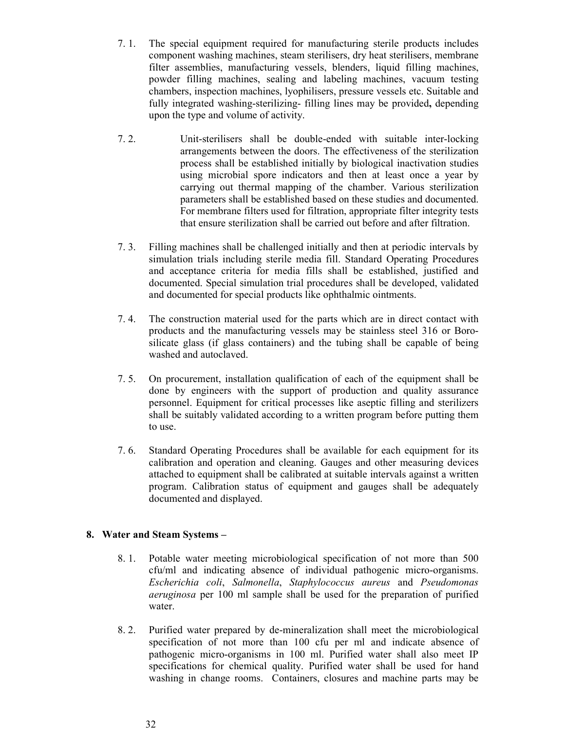- 7. 1. The special equipment required for manufacturing sterile products includes component washing machines, steam sterilisers, dry heat sterilisers, membrane filter assemblies, manufacturing vessels, blenders, liquid filling machines, powder filling machines, sealing and labeling machines, vacuum testing chambers, inspection machines, lyophilisers, pressure vessels etc. Suitable and fully integrated washing-sterilizing- filling lines may be provided, depending upon the type and volume of activity.
- 7. 2. Unit-sterilisers shall be double-ended with suitable inter-locking arrangements between the doors. The effectiveness of the sterilization process shall be established initially by biological inactivation studies using microbial spore indicators and then at least once a year by carrying out thermal mapping of the chamber. Various sterilization parameters shall be established based on these studies and documented. For membrane filters used for filtration, appropriate filter integrity tests that ensure sterilization shall be carried out before and after filtration.
- 7. 3. Filling machines shall be challenged initially and then at periodic intervals by simulation trials including sterile media fill. Standard Operating Procedures and acceptance criteria for media fills shall be established, justified and documented. Special simulation trial procedures shall be developed, validated and documented for special products like ophthalmic ointments.
- 7. 4. The construction material used for the parts which are in direct contact with products and the manufacturing vessels may be stainless steel 316 or Borosilicate glass (if glass containers) and the tubing shall be capable of being washed and autoclaved.
- 7. 5. On procurement, installation qualification of each of the equipment shall be done by engineers with the support of production and quality assurance personnel. Equipment for critical processes like aseptic filling and sterilizers shall be suitably validated according to a written program before putting them to use.
- 7. 6. Standard Operating Procedures shall be available for each equipment for its calibration and operation and cleaning. Gauges and other measuring devices attached to equipment shall be calibrated at suitable intervals against a written program. Calibration status of equipment and gauges shall be adequately documented and displayed.

# 8. Water and Steam Systems –

- 8. 1. Potable water meeting microbiological specification of not more than 500 cfu/ml and indicating absence of individual pathogenic micro-organisms. *Escherichia coli*, *Salmonella*, *Staphylococcus aureus* and *Pseudomonas aeruginosa* per 100 ml sample shall be used for the preparation of purified water.
- 8. 2. Purified water prepared by de-mineralization shall meet the microbiological specification of not more than 100 cfu per ml and indicate absence of pathogenic micro-organisms in 100 ml. Purified water shall also meet IP specifications for chemical quality. Purified water shall be used for hand washing in change rooms. Containers, closures and machine parts may be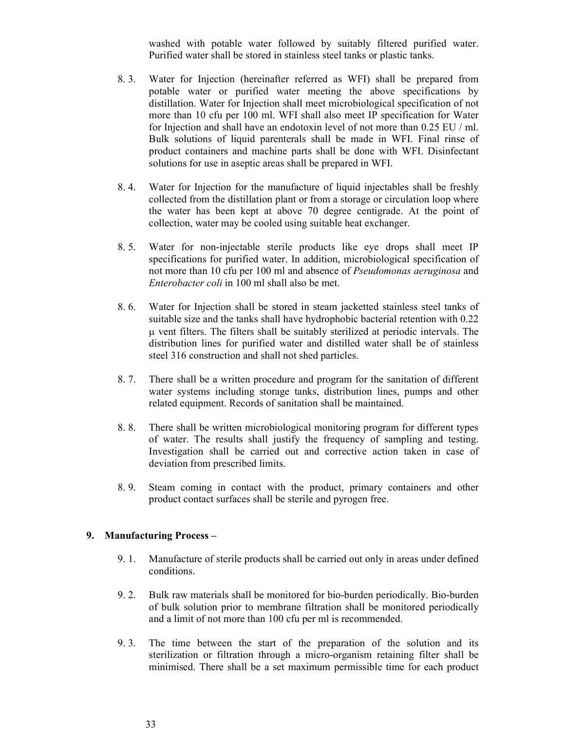washed with potable water followed by suitably filtered purified water. Purified water shall be stored in stainless steel tanks or plastic tanks.

- 8. 3. Water for Injection (hereinafter referred as WFI) shall be prepared from potable water or purified water meeting the above specifications by distillation. Water for Injection shall meet microbiological specification of not more than 10 cfu per 100 ml. WFI shall also meet IP specification for Water for Injection and shall have an endotoxin level of not more than 0.25 EU / ml. Bulk solutions of liquid parenterals shall be made in WFI. Final rinse of product containers and machine parts shall be done with WFI. Disinfectant solutions for use in aseptic areas shall be prepared in WFI.
- 8. 4. Water for Injection for the manufacture of liquid injectables shall be freshly collected from the distillation plant or from a storage or circulation loop where the water has been kept at above 70 degree centigrade. At the point of collection, water may be cooled using suitable heat exchanger.
- 8. 5. Water for non-injectable sterile products like eye drops shall meet IP specifications for purified water. In addition, microbiological specification of not more than 10 cfu per 100 ml and absence of *Pseudomonas aeruginosa* and *Enterobacter coli* in 100 ml shall also be met.
- 8. 6. Water for Injection shall be stored in steam jacketted stainless steel tanks of suitable size and the tanks shall have hydrophobic bacterial retention with 0.22 µ vent filters. The filters shall be suitably sterilized at periodic intervals. The distribution lines for purified water and distilled water shall be of stainless steel 316 construction and shall not shed particles.
- 8. 7. There shall be a written procedure and program for the sanitation of different water systems including storage tanks, distribution lines, pumps and other related equipment. Records of sanitation shall be maintained.
- 8. 8. There shall be written microbiological monitoring program for different types of water. The results shall justify the frequency of sampling and testing. Investigation shall be carried out and corrective action taken in case of deviation from prescribed limits.
- 8. 9. Steam coming in contact with the product, primary containers and other product contact surfaces shall be sterile and pyrogen free.

### 9. Manufacturing Process –

- 9. 1. Manufacture of sterile products shall be carried out only in areas under defined conditions.
- 9. 2. Bulk raw materials shall be monitored for bio-burden periodically. Bio-burden of bulk solution prior to membrane filtration shall be monitored periodically and a limit of not more than 100 cfu per ml is recommended.
- 9. 3. The time between the start of the preparation of the solution and its sterilization or filtration through a micro-organism retaining filter shall be minimised. There shall be a set maximum permissible time for each product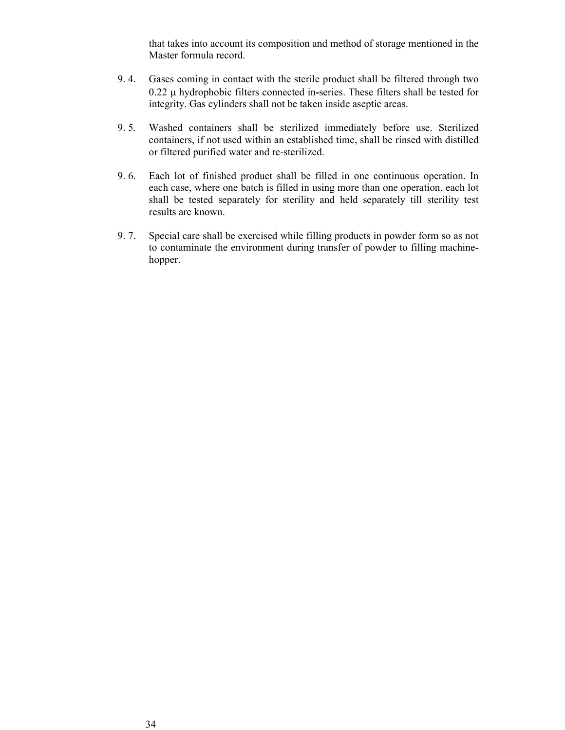that takes into account its composition and method of storage mentioned in the Master formula record.

- 9. 4. Gases coming in contact with the sterile product shall be filtered through two 0.22 µ hydrophobic filters connected in-series. These filters shall be tested for integrity. Gas cylinders shall not be taken inside aseptic areas.
- 9. 5. Washed containers shall be sterilized immediately before use. Sterilized containers, if not used within an established time, shall be rinsed with distilled or filtered purified water and re-sterilized.
- 9. 6. Each lot of finished product shall be filled in one continuous operation. In each case, where one batch is filled in using more than one operation, each lot shall be tested separately for sterility and held separately till sterility test results are known.
- 9. 7. Special care shall be exercised while filling products in powder form so as not to contaminate the environment during transfer of powder to filling machinehopper.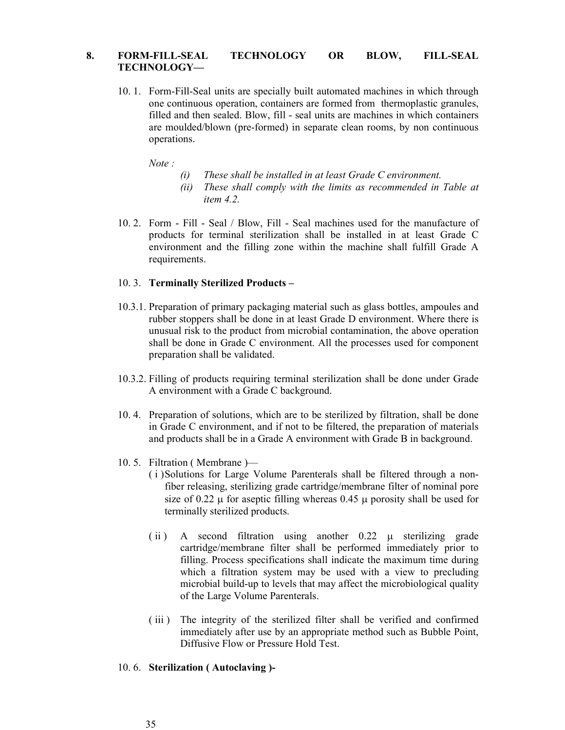### 8. FORM-FILL-SEAL TECHNOLOGY OR BLOW, FILL-SEAL TECHNOLOGY—

10. 1. Form-Fill-Seal units are specially built automated machines in which through one continuous operation, containers are formed from thermoplastic granules, filled and then sealed. Blow, fill - seal units are machines in which containers are moulded/blown (pre-formed) in separate clean rooms, by non continuous operations.

#### *Note :*

- *(i) These shall be installed in at least Grade C environment.*
- *(ii) These shall comply with the limits as recommended in Table at item 4.2.*
- 10. 2. Form Fill Seal / Blow, Fill Seal machines used for the manufacture of products for terminal sterilization shall be installed in at least Grade C environment and the filling zone within the machine shall fulfill Grade A requirements.

### 10. 3. Terminally Sterilized Products –

- 10.3.1. Preparation of primary packaging material such as glass bottles, ampoules and rubber stoppers shall be done in at least Grade D environment. Where there is unusual risk to the product from microbial contamination, the above operation shall be done in Grade C environment. All the processes used for component preparation shall be validated.
- 10.3.2. Filling of products requiring terminal sterilization shall be done under Grade A environment with a Grade C background.
- 10. 4. Preparation of solutions, which are to be sterilized by filtration, shall be done in Grade C environment, and if not to be filtered, the preparation of materials and products shall be in a Grade A environment with Grade B in background.
- 10. 5. Filtration ( Membrane )—
	- ( i ) Solutions for Large Volume Parenterals shall be filtered through a nonfiber releasing, sterilizing grade cartridge/membrane filter of nominal pore size of 0.22  $\mu$  for aseptic filling whereas 0.45  $\mu$  porosity shall be used for terminally sterilized products.
	- (ii) A second filtration using another  $0.22 \mu$  sterilizing grade cartridge/membrane filter shall be performed immediately prior to filling. Process specifications shall indicate the maximum time during which a filtration system may be used with a view to precluding microbial build-up to levels that may affect the microbiological quality of the Large Volume Parenterals.
	- ( iii ) The integrity of the sterilized filter shall be verified and confirmed immediately after use by an appropriate method such as Bubble Point, Diffusive Flow or Pressure Hold Test.

#### 10. 6. Sterilization ( Autoclaving )-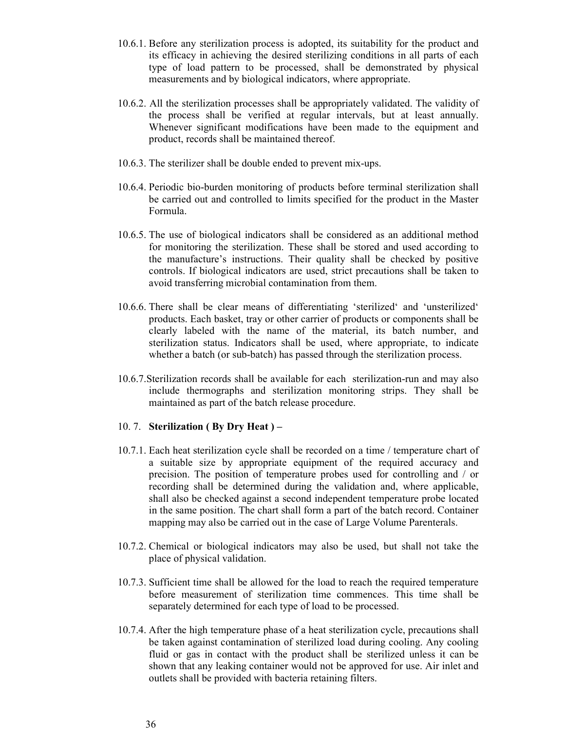- 10.6.1. Before any sterilization process is adopted, its suitability for the product and its efficacy in achieving the desired sterilizing conditions in all parts of each type of load pattern to be processed, shall be demonstrated by physical measurements and by biological indicators, where appropriate.
- 10.6.2. All the sterilization processes shall be appropriately validated. The validity of the process shall be verified at regular intervals, but at least annually. Whenever significant modifications have been made to the equipment and product, records shall be maintained thereof.
- 10.6.3. The sterilizer shall be double ended to prevent mix-ups.
- 10.6.4. Periodic bio-burden monitoring of products before terminal sterilization shall be carried out and controlled to limits specified for the product in the Master Formula.
- 10.6.5. The use of biological indicators shall be considered as an additional method for monitoring the sterilization. These shall be stored and used according to the manufacture's instructions. Their quality shall be checked by positive controls. If biological indicators are used, strict precautions shall be taken to avoid transferring microbial contamination from them.
- 10.6.6. There shall be clear means of differentiating 'sterilized' and 'unsterilized' products. Each basket, tray or other carrier of products or components shall be clearly labeled with the name of the material, its batch number, and sterilization status. Indicators shall be used, where appropriate, to indicate whether a batch (or sub-batch) has passed through the sterilization process.
- 10.6.7.Sterilization records shall be available for each sterilization-run and may also include thermographs and sterilization monitoring strips. They shall be maintained as part of the batch release procedure.

### 10. 7. Sterilization ( By Dry Heat ) –

- 10.7.1. Each heat sterilization cycle shall be recorded on a time / temperature chart of a suitable size by appropriate equipment of the required accuracy and precision. The position of temperature probes used for controlling and / or recording shall be determined during the validation and, where applicable, shall also be checked against a second independent temperature probe located in the same position. The chart shall form a part of the batch record. Container mapping may also be carried out in the case of Large Volume Parenterals.
- 10.7.2. Chemical or biological indicators may also be used, but shall not take the place of physical validation.
- 10.7.3. Sufficient time shall be allowed for the load to reach the required temperature before measurement of sterilization time commences. This time shall be separately determined for each type of load to be processed.
- 10.7.4. After the high temperature phase of a heat sterilization cycle, precautions shall be taken against contamination of sterilized load during cooling. Any cooling fluid or gas in contact with the product shall be sterilized unless it can be shown that any leaking container would not be approved for use. Air inlet and outlets shall be provided with bacteria retaining filters.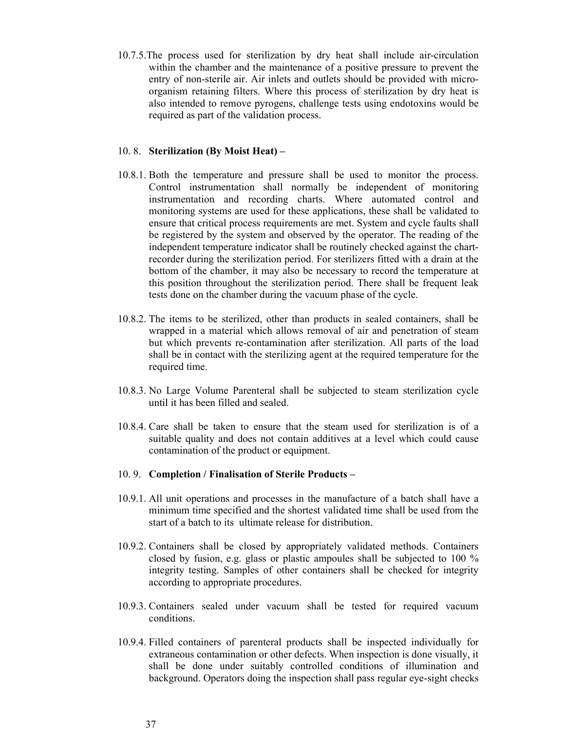10.7.5.The process used for sterilization by dry heat shall include air-circulation within the chamber and the maintenance of a positive pressure to prevent the entry of non-sterile air. Air inlets and outlets should be provided with microorganism retaining filters. Where this process of sterilization by dry heat is also intended to remove pyrogens, challenge tests using endotoxins would be required as part of the validation process.

### 10. 8. Sterilization (By Moist Heat) –

- 10.8.1. Both the temperature and pressure shall be used to monitor the process. Control instrumentation shall normally be independent of monitoring instrumentation and recording charts. Where automated control and monitoring systems are used for these applications, these shall be validated to ensure that critical process requirements are met. System and cycle faults shall be registered by the system and observed by the operator. The reading of the independent temperature indicator shall be routinely checked against the chartrecorder during the sterilization period. For sterilizers fitted with a drain at the bottom of the chamber, it may also be necessary to record the temperature at this position throughout the sterilization period. There shall be frequent leak tests done on the chamber during the vacuum phase of the cycle.
- 10.8.2. The items to be sterilized, other than products in sealed containers, shall be wrapped in a material which allows removal of air and penetration of steam but which prevents re-contamination after sterilization. All parts of the load shall be in contact with the sterilizing agent at the required temperature for the required time.
- 10.8.3. No Large Volume Parenteral shall be subjected to steam sterilization cycle until it has been filled and sealed.
- 10.8.4. Care shall be taken to ensure that the steam used for sterilization is of a suitable quality and does not contain additives at a level which could cause contamination of the product or equipment.

# 10. 9. Completion / Finalisation of Sterile Products –

- 10.9.1. All unit operations and processes in the manufacture of a batch shall have a minimum time specified and the shortest validated time shall be used from the start of a batch to its ultimate release for distribution.
- 10.9.2. Containers shall be closed by appropriately validated methods. Containers closed by fusion, e.g. glass or plastic ampoules shall be subjected to 100 % integrity testing. Samples of other containers shall be checked for integrity according to appropriate procedures.
- 10.9.3. Containers sealed under vacuum shall be tested for required vacuum conditions.
- 10.9.4. Filled containers of parenteral products shall be inspected individually for extraneous contamination or other defects. When inspection is done visually, it shall be done under suitably controlled conditions of illumination and background. Operators doing the inspection shall pass regular eye-sight checks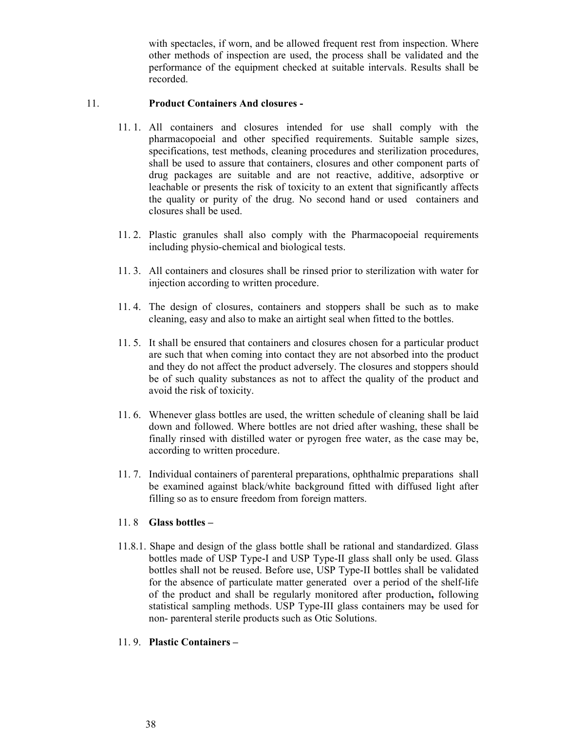with spectacles, if worn, and be allowed frequent rest from inspection. Where other methods of inspection are used, the process shall be validated and the performance of the equipment checked at suitable intervals. Results shall be recorded.

### 11. Product Containers And closures -

- 11. 1. All containers and closures intended for use shall comply with the pharmacopoeial and other specified requirements. Suitable sample sizes, specifications, test methods, cleaning procedures and sterilization procedures, shall be used to assure that containers, closures and other component parts of drug packages are suitable and are not reactive, additive, adsorptive or leachable or presents the risk of toxicity to an extent that significantly affects the quality or purity of the drug. No second hand or used containers and closures shall be used.
- 11. 2. Plastic granules shall also comply with the Pharmacopoeial requirements including physio-chemical and biological tests.
- 11. 3. All containers and closures shall be rinsed prior to sterilization with water for injection according to written procedure.
- 11. 4. The design of closures, containers and stoppers shall be such as to make cleaning, easy and also to make an airtight seal when fitted to the bottles.
- 11. 5. It shall be ensured that containers and closures chosen for a particular product are such that when coming into contact they are not absorbed into the product and they do not affect the product adversely. The closures and stoppers should be of such quality substances as not to affect the quality of the product and avoid the risk of toxicity.
- 11. 6. Whenever glass bottles are used, the written schedule of cleaning shall be laid down and followed. Where bottles are not dried after washing, these shall be finally rinsed with distilled water or pyrogen free water, as the case may be, according to written procedure.
- 11. 7. Individual containers of parenteral preparations, ophthalmic preparations shall be examined against black/white background fitted with diffused light after filling so as to ensure freedom from foreign matters.

### 11. 8 Glass bottles –

11.8.1. Shape and design of the glass bottle shall be rational and standardized. Glass bottles made of USP Type-I and USP Type-II glass shall only be used. Glass bottles shall not be reused. Before use, USP Type-II bottles shall be validated for the absence of particulate matter generated over a period of the shelf-life of the product and shall be regularly monitored after production, following statistical sampling methods. USP Type-III glass containers may be used for non- parenteral sterile products such as Otic Solutions.

### 11. 9. Plastic Containers –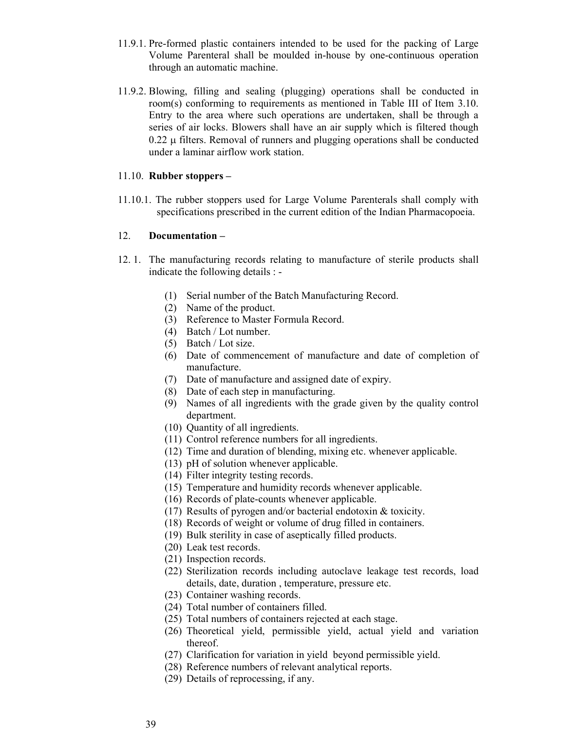- 11.9.1. Pre-formed plastic containers intended to be used for the packing of Large Volume Parenteral shall be moulded in-house by one-continuous operation through an automatic machine.
- 11.9.2. Blowing, filling and sealing (plugging) operations shall be conducted in room(s) conforming to requirements as mentioned in Table III of Item 3.10. Entry to the area where such operations are undertaken, shall be through a series of air locks. Blowers shall have an air supply which is filtered though 0.22 µ filters. Removal of runners and plugging operations shall be conducted under a laminar airflow work station.

### 11.10. Rubber stoppers –

11.10.1. The rubber stoppers used for Large Volume Parenterals shall comply with specifications prescribed in the current edition of the Indian Pharmacopoeia.

### 12. Documentation –

- 12. 1. The manufacturing records relating to manufacture of sterile products shall indicate the following details : -
	- (1) Serial number of the Batch Manufacturing Record.
	- (2) Name of the product.
	- (3) Reference to Master Formula Record.
	- (4) Batch / Lot number.
	- (5) Batch / Lot size.
	- (6) Date of commencement of manufacture and date of completion of manufacture.
	- (7) Date of manufacture and assigned date of expiry.
	- (8) Date of each step in manufacturing.
	- (9) Names of all ingredients with the grade given by the quality control department.
	- (10) Quantity of all ingredients.
	- (11) Control reference numbers for all ingredients.
	- (12) Time and duration of blending, mixing etc. whenever applicable.
	- (13) pH of solution whenever applicable.
	- (14) Filter integrity testing records.
	- (15) Temperature and humidity records whenever applicable.
	- (16) Records of plate-counts whenever applicable.
	- (17) Results of pyrogen and/or bacterial endotoxin & toxicity.
	- (18) Records of weight or volume of drug filled in containers.
	- (19) Bulk sterility in case of aseptically filled products.
	- (20) Leak test records.
	- (21) Inspection records.
	- (22) Sterilization records including autoclave leakage test records, load details, date, duration , temperature, pressure etc.
	- (23) Container washing records.
	- (24) Total number of containers filled.
	- (25) Total numbers of containers rejected at each stage.
	- (26) Theoretical yield, permissible yield, actual yield and variation thereof.
	- (27) Clarification for variation in yield beyond permissible yield.
	- (28) Reference numbers of relevant analytical reports.
	- (29) Details of reprocessing, if any.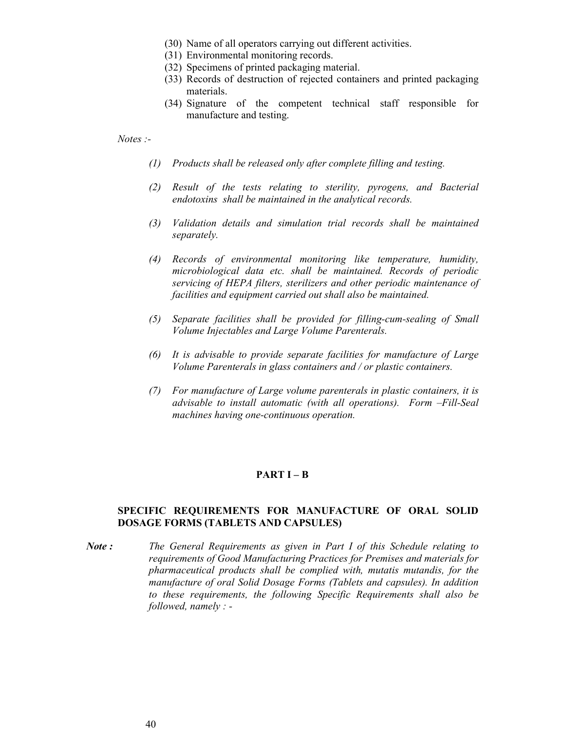- (30) Name of all operators carrying out different activities.
- (31) Environmental monitoring records.
- (32) Specimens of printed packaging material.
- (33) Records of destruction of rejected containers and printed packaging materials.
- (34) Signature of the competent technical staff responsible for manufacture and testing.

*Notes :-* 

- *(1) Products shall be released only after complete filling and testing.*
- *(2) Result of the tests relating to sterility, pyrogens, and Bacterial endotoxins shall be maintained in the analytical records.*
- *(3) Validation details and simulation trial records shall be maintained separately.*
- *(4) Records of environmental monitoring like temperature, humidity, microbiological data etc. shall be maintained. Records of periodic servicing of HEPA filters, sterilizers and other periodic maintenance of facilities and equipment carried out shall also be maintained.*
- *(5) Separate facilities shall be provided for filling-cum-sealing of Small Volume Injectables and Large Volume Parenterals.*
- *(6) It is advisable to provide separate facilities for manufacture of Large Volume Parenterals in glass containers and / or plastic containers.*
- *(7) For manufacture of Large volume parenterals in plastic containers, it is advisable to install automatic (with all operations). Form –Fill-Seal machines having one-continuous operation.*

#### **PART**  $I - B$

### SPECIFIC REQUIREMENTS FOR MANUFACTURE OF ORAL SOLID DOSAGE FORMS (TABLETS AND CAPSULES)

Note : *The General Requirements as given in Part I of this Schedule relating to requirements of Good Manufacturing Practices for Premises and materials for pharmaceutical products shall be complied with, mutatis mutandis, for the manufacture of oral Solid Dosage Forms (Tablets and capsules). In addition to these requirements, the following Specific Requirements shall also be followed, namely : -*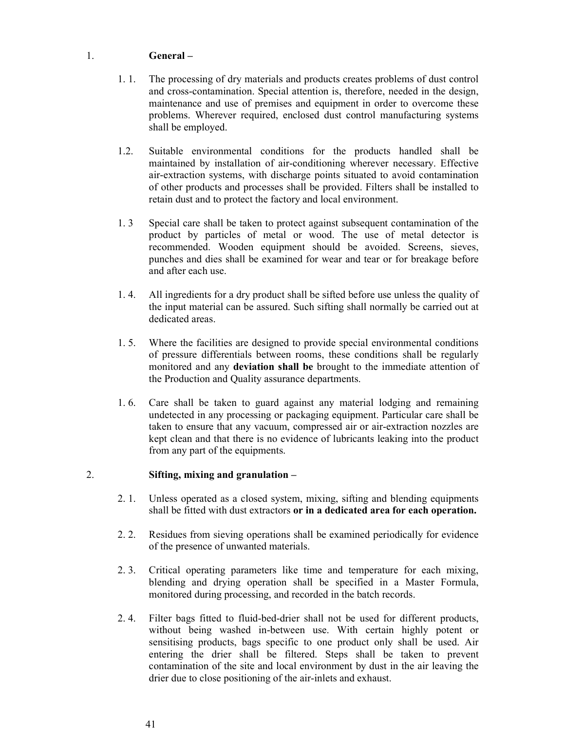# 1. General –

- 1. 1. The processing of dry materials and products creates problems of dust control and cross-contamination. Special attention is, therefore, needed in the design, maintenance and use of premises and equipment in order to overcome these problems. Wherever required, enclosed dust control manufacturing systems shall be employed.
- 1.2. Suitable environmental conditions for the products handled shall be maintained by installation of air-conditioning wherever necessary. Effective air-extraction systems, with discharge points situated to avoid contamination of other products and processes shall be provided. Filters shall be installed to retain dust and to protect the factory and local environment.
- 1. 3 Special care shall be taken to protect against subsequent contamination of the product by particles of metal or wood. The use of metal detector is recommended. Wooden equipment should be avoided. Screens, sieves, punches and dies shall be examined for wear and tear or for breakage before and after each use.
- 1. 4. All ingredients for a dry product shall be sifted before use unless the quality of the input material can be assured. Such sifting shall normally be carried out at dedicated areas.
- 1. 5. Where the facilities are designed to provide special environmental conditions of pressure differentials between rooms, these conditions shall be regularly monitored and any deviation shall be brought to the immediate attention of the Production and Quality assurance departments.
- 1. 6. Care shall be taken to guard against any material lodging and remaining undetected in any processing or packaging equipment. Particular care shall be taken to ensure that any vacuum, compressed air or air-extraction nozzles are kept clean and that there is no evidence of lubricants leaking into the product from any part of the equipments.

# 2. Sifting, mixing and granulation –

- 2. 1. Unless operated as a closed system, mixing, sifting and blending equipments shall be fitted with dust extractors or in a dedicated area for each operation.
- 2. 2. Residues from sieving operations shall be examined periodically for evidence of the presence of unwanted materials.
- 2. 3. Critical operating parameters like time and temperature for each mixing, blending and drying operation shall be specified in a Master Formula, monitored during processing, and recorded in the batch records.
- 2. 4. Filter bags fitted to fluid-bed-drier shall not be used for different products, without being washed in-between use. With certain highly potent or sensitising products, bags specific to one product only shall be used. Air entering the drier shall be filtered. Steps shall be taken to prevent contamination of the site and local environment by dust in the air leaving the drier due to close positioning of the air-inlets and exhaust.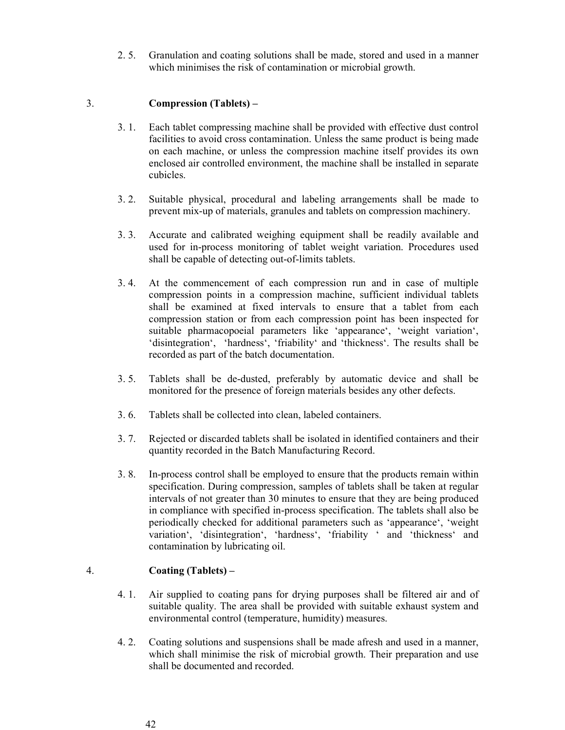2. 5. Granulation and coating solutions shall be made, stored and used in a manner which minimises the risk of contamination or microbial growth.

# 3. Compression (Tablets) –

- 3. 1. Each tablet compressing machine shall be provided with effective dust control facilities to avoid cross contamination. Unless the same product is being made on each machine, or unless the compression machine itself provides its own enclosed air controlled environment, the machine shall be installed in separate cubicles.
- 3. 2. Suitable physical, procedural and labeling arrangements shall be made to prevent mix-up of materials, granules and tablets on compression machinery.
- 3. 3. Accurate and calibrated weighing equipment shall be readily available and used for in-process monitoring of tablet weight variation. Procedures used shall be capable of detecting out-of-limits tablets.
- 3. 4. At the commencement of each compression run and in case of multiple compression points in a compression machine, sufficient individual tablets shall be examined at fixed intervals to ensure that a tablet from each compression station or from each compression point has been inspected for suitable pharmacopoeial parameters like 'appearance', 'weight variation', 'disintegration', 'hardness', 'friability' and 'thickness'. The results shall be recorded as part of the batch documentation.
- 3. 5. Tablets shall be de-dusted, preferably by automatic device and shall be monitored for the presence of foreign materials besides any other defects.
- 3. 6. Tablets shall be collected into clean, labeled containers.
- 3. 7. Rejected or discarded tablets shall be isolated in identified containers and their quantity recorded in the Batch Manufacturing Record.
- 3. 8. In-process control shall be employed to ensure that the products remain within specification. During compression, samples of tablets shall be taken at regular intervals of not greater than 30 minutes to ensure that they are being produced in compliance with specified in-process specification. The tablets shall also be periodically checked for additional parameters such as 'appearance', 'weight variation', 'disintegration', 'hardness', 'friability ' and 'thickness' and contamination by lubricating oil.

# 4. Coating (Tablets) –

- 4. 1. Air supplied to coating pans for drying purposes shall be filtered air and of suitable quality. The area shall be provided with suitable exhaust system and environmental control (temperature, humidity) measures.
- 4. 2. Coating solutions and suspensions shall be made afresh and used in a manner, which shall minimise the risk of microbial growth. Their preparation and use shall be documented and recorded.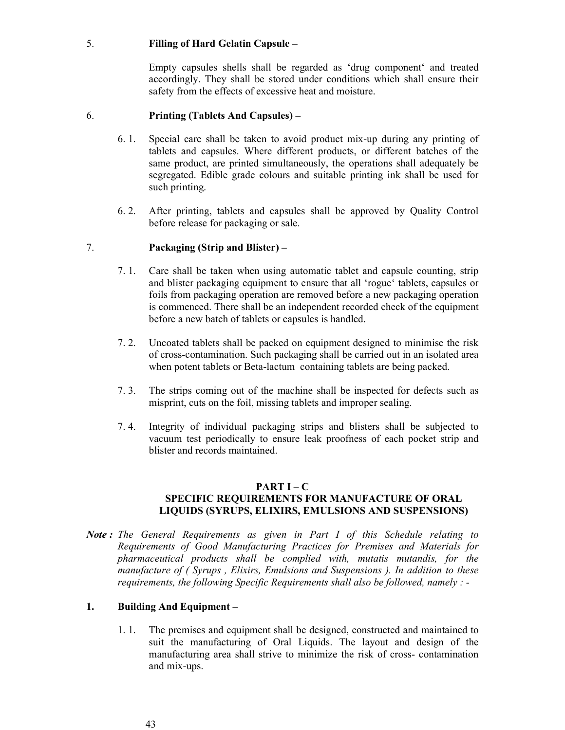# 5. Filling of Hard Gelatin Capsule –

Empty capsules shells shall be regarded as 'drug component' and treated accordingly. They shall be stored under conditions which shall ensure their safety from the effects of excessive heat and moisture.

### 6. Printing (Tablets And Capsules) –

- 6. 1. Special care shall be taken to avoid product mix-up during any printing of tablets and capsules. Where different products, or different batches of the same product, are printed simultaneously, the operations shall adequately be segregated. Edible grade colours and suitable printing ink shall be used for such printing.
- 6. 2. After printing, tablets and capsules shall be approved by Quality Control before release for packaging or sale.

### 7. Packaging (Strip and Blister) –

- 7. 1. Care shall be taken when using automatic tablet and capsule counting, strip and blister packaging equipment to ensure that all 'rogue' tablets, capsules or foils from packaging operation are removed before a new packaging operation is commenced. There shall be an independent recorded check of the equipment before a new batch of tablets or capsules is handled.
- 7. 2. Uncoated tablets shall be packed on equipment designed to minimise the risk of cross-contamination. Such packaging shall be carried out in an isolated area when potent tablets or Beta-lactum containing tablets are being packed.
- 7. 3. The strips coming out of the machine shall be inspected for defects such as misprint, cuts on the foil, missing tablets and improper sealing.
- 7. 4. Integrity of individual packaging strips and blisters shall be subjected to vacuum test periodically to ensure leak proofness of each pocket strip and blister and records maintained.

### PART I – C SPECIFIC REQUIREMENTS FOR MANUFACTURE OF ORAL LIQUIDS (SYRUPS, ELIXIRS, EMULSIONS AND SUSPENSIONS)

Note : *The General Requirements as given in Part I of this Schedule relating to Requirements of Good Manufacturing Practices for Premises and Materials for pharmaceutical products shall be complied with, mutatis mutandis, for the manufacture of ( Syrups , Elixirs, Emulsions and Suspensions ). In addition to these requirements, the following Specific Requirements shall also be followed, namely : -* 

### 1. Building And Equipment –

1. 1. The premises and equipment shall be designed, constructed and maintained to suit the manufacturing of Oral Liquids. The layout and design of the manufacturing area shall strive to minimize the risk of cross- contamination and mix-ups.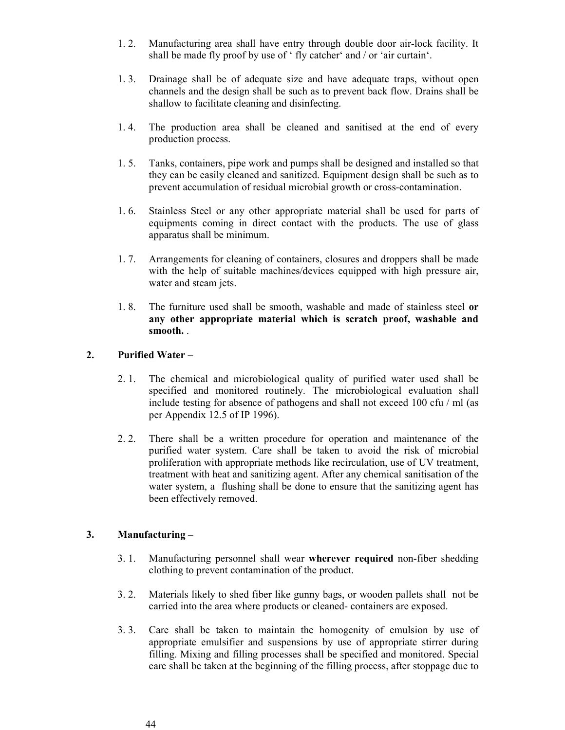- 1. 2. Manufacturing area shall have entry through double door air-lock facility. It shall be made fly proof by use of ' fly catcher' and / or 'air curtain'.
- 1. 3. Drainage shall be of adequate size and have adequate traps, without open channels and the design shall be such as to prevent back flow. Drains shall be shallow to facilitate cleaning and disinfecting.
- 1. 4. The production area shall be cleaned and sanitised at the end of every production process.
- 1. 5. Tanks, containers, pipe work and pumps shall be designed and installed so that they can be easily cleaned and sanitized. Equipment design shall be such as to prevent accumulation of residual microbial growth or cross-contamination.
- 1. 6. Stainless Steel or any other appropriate material shall be used for parts of equipments coming in direct contact with the products. The use of glass apparatus shall be minimum.
- 1. 7. Arrangements for cleaning of containers, closures and droppers shall be made with the help of suitable machines/devices equipped with high pressure air, water and steam jets.
- 1. 8. The furniture used shall be smooth, washable and made of stainless steel or any other appropriate material which is scratch proof, washable and smooth. .

# 2. Purified Water –

- 2. 1. The chemical and microbiological quality of purified water used shall be specified and monitored routinely. The microbiological evaluation shall include testing for absence of pathogens and shall not exceed 100 cfu / ml (as per Appendix 12.5 of IP 1996).
- 2. 2. There shall be a written procedure for operation and maintenance of the purified water system. Care shall be taken to avoid the risk of microbial proliferation with appropriate methods like recirculation, use of UV treatment, treatment with heat and sanitizing agent. After any chemical sanitisation of the water system, a flushing shall be done to ensure that the sanitizing agent has been effectively removed.

# 3. Manufacturing –

- 3. 1. Manufacturing personnel shall wear wherever required non-fiber shedding clothing to prevent contamination of the product.
- 3. 2. Materials likely to shed fiber like gunny bags, or wooden pallets shall not be carried into the area where products or cleaned- containers are exposed.
- 3. 3. Care shall be taken to maintain the homogenity of emulsion by use of appropriate emulsifier and suspensions by use of appropriate stirrer during filling. Mixing and filling processes shall be specified and monitored. Special care shall be taken at the beginning of the filling process, after stoppage due to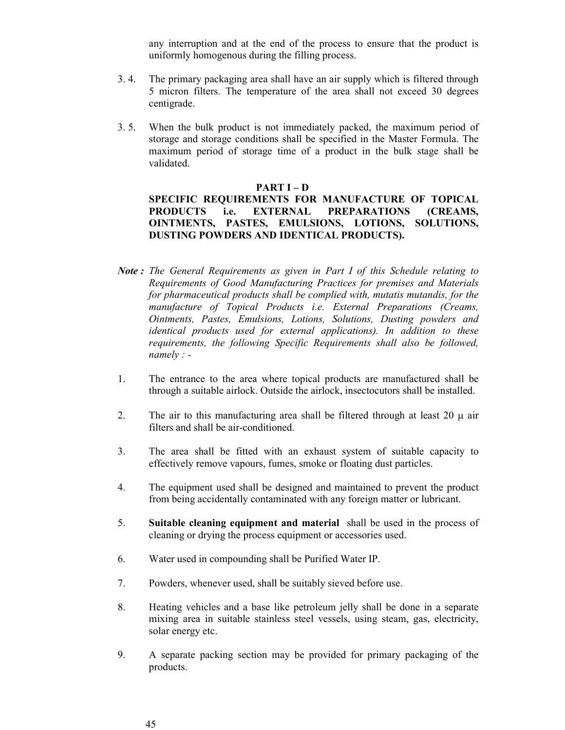any interruption and at the end of the process to ensure that the product is uniformly homogenous during the filling process.

- 3. 4. The primary packaging area shall have an air supply which is filtered through 5 micron filters. The temperature of the area shall not exceed 30 degrees centigrade.
- 3. 5. When the bulk product is not immediately packed, the maximum period of storage and storage conditions shall be specified in the Master Formula. The maximum period of storage time of a product in the bulk stage shall be validated.

#### PART I – D

# SPECIFIC REQUIREMENTS FOR MANUFACTURE OF TOPICAL PRODUCTS i.e. EXTERNAL PREPARATIONS (CREAMS, OINTMENTS, PASTES, EMULSIONS, LOTIONS, SOLUTIONS, DUSTING POWDERS AND IDENTICAL PRODUCTS).

- Note : *The General Requirements as given in Part I of this Schedule relating to Requirements of Good Manufacturing Practices for premises and Materials for pharmaceutical products shall be complied with, mutatis mutandis, for the manufacture of Topical Products i.e. External Preparations (Creams, Ointments, Pastes, Emulsions, Lotions, Solutions, Dusting powders and identical products used for external applications). In addition to these requirements, the following Specific Requirements shall also be followed, namely : -*
- 1. The entrance to the area where topical products are manufactured shall be through a suitable airlock. Outside the airlock, insectocutors shall be installed.
- 2. The air to this manufacturing area shall be filtered through at least  $20 \mu$  air filters and shall be air-conditioned.
- 3. The area shall be fitted with an exhaust system of suitable capacity to effectively remove vapours, fumes, smoke or floating dust particles.
- 4. The equipment used shall be designed and maintained to prevent the product from being accidentally contaminated with any foreign matter or lubricant.
- 5. Suitable cleaning equipment and material shall be used in the process of cleaning or drying the process equipment or accessories used.
- 6. Water used in compounding shall be Purified Water IP.
- 7. Powders, whenever used, shall be suitably sieved before use.
- 8. Heating vehicles and a base like petroleum jelly shall be done in a separate mixing area in suitable stainless steel vessels, using steam, gas, electricity, solar energy etc.
- 9. A separate packing section may be provided for primary packaging of the products.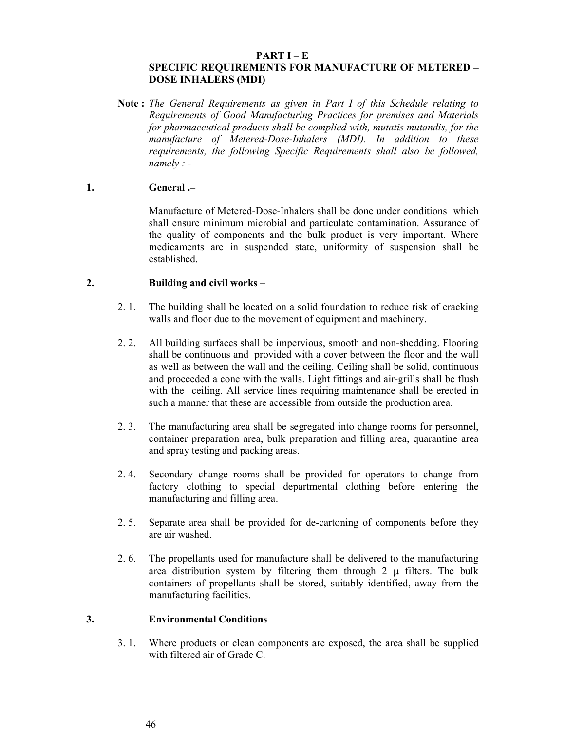### **PART**  $I - E$

# SPECIFIC REQUIREMENTS FOR MANUFACTURE OF METERED – DOSE INHALERS (MDI)

Note : *The General Requirements as given in Part I of this Schedule relating to Requirements of Good Manufacturing Practices for premises and Materials for pharmaceutical products shall be complied with, mutatis mutandis, for the manufacture of Metered-Dose-Inhalers (MDI). In addition to these requirements, the following Specific Requirements shall also be followed, namely : -* 

### 1. General .–

Manufacture of Metered-Dose-Inhalers shall be done under conditions which shall ensure minimum microbial and particulate contamination. Assurance of the quality of components and the bulk product is very important. Where medicaments are in suspended state, uniformity of suspension shall be established.

### 2. Building and civil works –

- 2. 1. The building shall be located on a solid foundation to reduce risk of cracking walls and floor due to the movement of equipment and machinery.
- 2. 2. All building surfaces shall be impervious, smooth and non-shedding. Flooring shall be continuous and provided with a cover between the floor and the wall as well as between the wall and the ceiling. Ceiling shall be solid, continuous and proceeded a cone with the walls. Light fittings and air-grills shall be flush with the ceiling. All service lines requiring maintenance shall be erected in such a manner that these are accessible from outside the production area.
- 2. 3. The manufacturing area shall be segregated into change rooms for personnel, container preparation area, bulk preparation and filling area, quarantine area and spray testing and packing areas.
- 2. 4. Secondary change rooms shall be provided for operators to change from factory clothing to special departmental clothing before entering the manufacturing and filling area.
- 2. 5. Separate area shall be provided for de-cartoning of components before they are air washed.
- 2. 6. The propellants used for manufacture shall be delivered to the manufacturing area distribution system by filtering them through  $2 \mu$  filters. The bulk containers of propellants shall be stored, suitably identified, away from the manufacturing facilities.

### 3. Environmental Conditions –

3. 1. Where products or clean components are exposed, the area shall be supplied with filtered air of Grade C.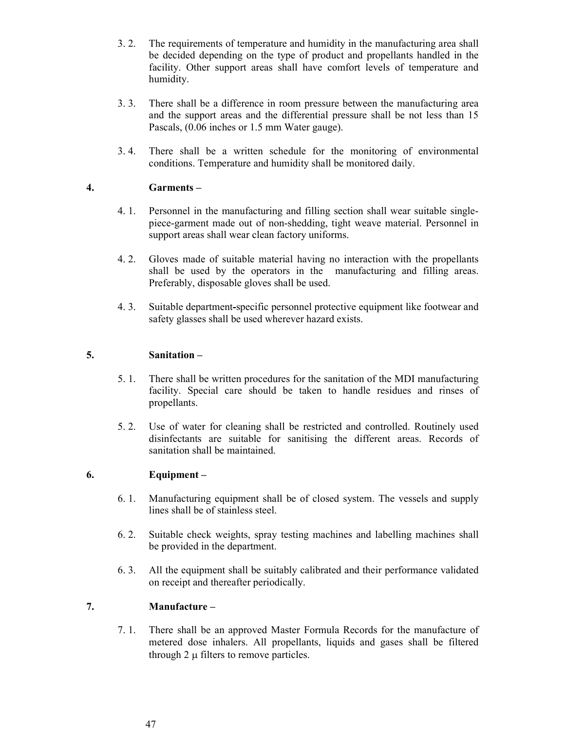- 3. 2. The requirements of temperature and humidity in the manufacturing area shall be decided depending on the type of product and propellants handled in the facility. Other support areas shall have comfort levels of temperature and humidity.
- 3. 3. There shall be a difference in room pressure between the manufacturing area and the support areas and the differential pressure shall be not less than 15 Pascals, (0.06 inches or 1.5 mm Water gauge).
- 3. 4. There shall be a written schedule for the monitoring of environmental conditions. Temperature and humidity shall be monitored daily.

# 4. Garments –

- 4. 1. Personnel in the manufacturing and filling section shall wear suitable singlepiece-garment made out of non-shedding, tight weave material. Personnel in support areas shall wear clean factory uniforms.
- 4. 2. Gloves made of suitable material having no interaction with the propellants shall be used by the operators in the manufacturing and filling areas. Preferably, disposable gloves shall be used.
- 4. 3. Suitable department-specific personnel protective equipment like footwear and safety glasses shall be used wherever hazard exists.

# 5. Sanitation –

- 5. 1. There shall be written procedures for the sanitation of the MDI manufacturing facility. Special care should be taken to handle residues and rinses of propellants.
- 5. 2. Use of water for cleaning shall be restricted and controlled. Routinely used disinfectants are suitable for sanitising the different areas. Records of sanitation shall be maintained.

# 6. Equipment –

- 6. 1. Manufacturing equipment shall be of closed system. The vessels and supply lines shall be of stainless steel.
- 6. 2. Suitable check weights, spray testing machines and labelling machines shall be provided in the department.
- 6. 3. All the equipment shall be suitably calibrated and their performance validated on receipt and thereafter periodically.

# 7. Manufacture –

7. 1. There shall be an approved Master Formula Records for the manufacture of metered dose inhalers. All propellants, liquids and gases shall be filtered through 2 µ filters to remove particles.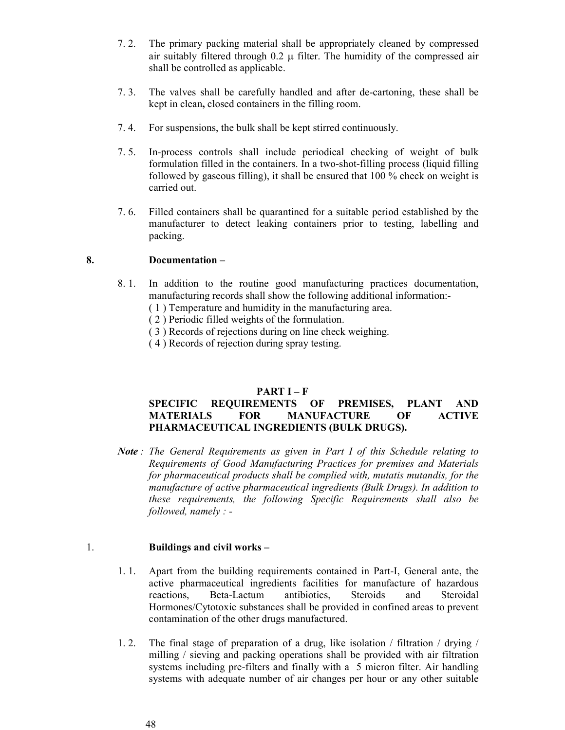- 7. 2. The primary packing material shall be appropriately cleaned by compressed air suitably filtered through  $0.2 \mu$  filter. The humidity of the compressed air shall be controlled as applicable.
- 7. 3. The valves shall be carefully handled and after de-cartoning, these shall be kept in clean, closed containers in the filling room.
- 7. 4. For suspensions, the bulk shall be kept stirred continuously.
- 7. 5. In-process controls shall include periodical checking of weight of bulk formulation filled in the containers. In a two-shot-filling process (liquid filling followed by gaseous filling), it shall be ensured that 100 % check on weight is carried out.
- 7. 6. Filled containers shall be quarantined for a suitable period established by the manufacturer to detect leaking containers prior to testing, labelling and packing.

# 8. Documentation –

- 8. 1. In addition to the routine good manufacturing practices documentation, manufacturing records shall show the following additional information:-
	- ( 1 ) Temperature and humidity in the manufacturing area.
	- ( 2 ) Periodic filled weights of the formulation.
	- ( 3 ) Records of rejections during on line check weighing.
	- ( 4 ) Records of rejection during spray testing.

#### PART I – F

### SPECIFIC REQUIREMENTS OF PREMISES, PLANT AND<br>MATERIALS FOR MANUFACTURE OF ACTIVE FOR MANUFACTURE OF ACTIVE PHARMACEUTICAL INGREDIENTS (BULK DRUGS).

Note *: The General Requirements as given in Part I of this Schedule relating to Requirements of Good Manufacturing Practices for premises and Materials for pharmaceutical products shall be complied with, mutatis mutandis, for the manufacture of active pharmaceutical ingredients (Bulk Drugs). In addition to these requirements, the following Specific Requirements shall also be followed, namely : -* 

#### 1. Buildings and civil works –

- 1. 1. Apart from the building requirements contained in Part-I, General ante, the active pharmaceutical ingredients facilities for manufacture of hazardous reactions, Beta-Lactum antibiotics, Steroids and Steroidal Hormones/Cytotoxic substances shall be provided in confined areas to prevent contamination of the other drugs manufactured.
- 1. 2. The final stage of preparation of a drug, like isolation / filtration / drying / milling / sieving and packing operations shall be provided with air filtration systems including pre-filters and finally with a 5 micron filter. Air handling systems with adequate number of air changes per hour or any other suitable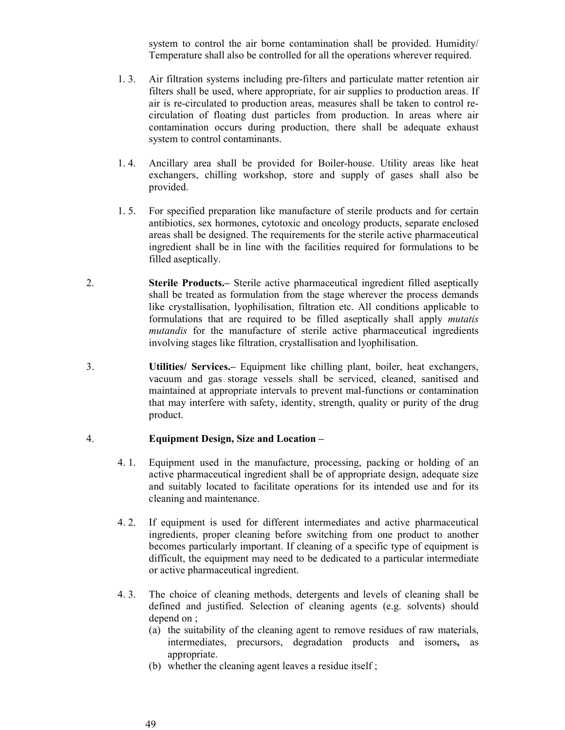system to control the air borne contamination shall be provided. Humidity/ Temperature shall also be controlled for all the operations wherever required.

- 1. 3. Air filtration systems including pre-filters and particulate matter retention air filters shall be used, where appropriate, for air supplies to production areas. If air is re-circulated to production areas, measures shall be taken to control recirculation of floating dust particles from production. In areas where air contamination occurs during production, there shall be adequate exhaust system to control contaminants.
- 1. 4. Ancillary area shall be provided for Boiler-house. Utility areas like heat exchangers, chilling workshop, store and supply of gases shall also be provided.
- 1. 5. For specified preparation like manufacture of sterile products and for certain antibiotics, sex hormones, cytotoxic and oncology products, separate enclosed areas shall be designed. The requirements for the sterile active pharmaceutical ingredient shall be in line with the facilities required for formulations to be filled aseptically.
- 2. Sterile Products.– Sterile active pharmaceutical ingredient filled aseptically shall be treated as formulation from the stage wherever the process demands like crystallisation, lyophilisation, filtration etc. All conditions applicable to formulations that are required to be filled aseptically shall apply *mutatis mutandis* for the manufacture of sterile active pharmaceutical ingredients involving stages like filtration, crystallisation and lyophilisation.
- 3. Utilities/ Services.– Equipment like chilling plant, boiler, heat exchangers, vacuum and gas storage vessels shall be serviced, cleaned, sanitised and maintained at appropriate intervals to prevent mal-functions or contamination that may interfere with safety, identity, strength, quality or purity of the drug product.

### 4. Equipment Design, Size and Location –

- 4. 1. Equipment used in the manufacture, processing, packing or holding of an active pharmaceutical ingredient shall be of appropriate design, adequate size and suitably located to facilitate operations for its intended use and for its cleaning and maintenance.
- 4. 2. If equipment is used for different intermediates and active pharmaceutical ingredients, proper cleaning before switching from one product to another becomes particularly important. If cleaning of a specific type of equipment is difficult, the equipment may need to be dedicated to a particular intermediate or active pharmaceutical ingredient.
- 4. 3. The choice of cleaning methods, detergents and levels of cleaning shall be defined and justified. Selection of cleaning agents (e.g. solvents) should depend on ;
	- (a) the suitability of the cleaning agent to remove residues of raw materials, intermediates, precursors, degradation products and isomers, as appropriate.
	- (b) whether the cleaning agent leaves a residue itself ;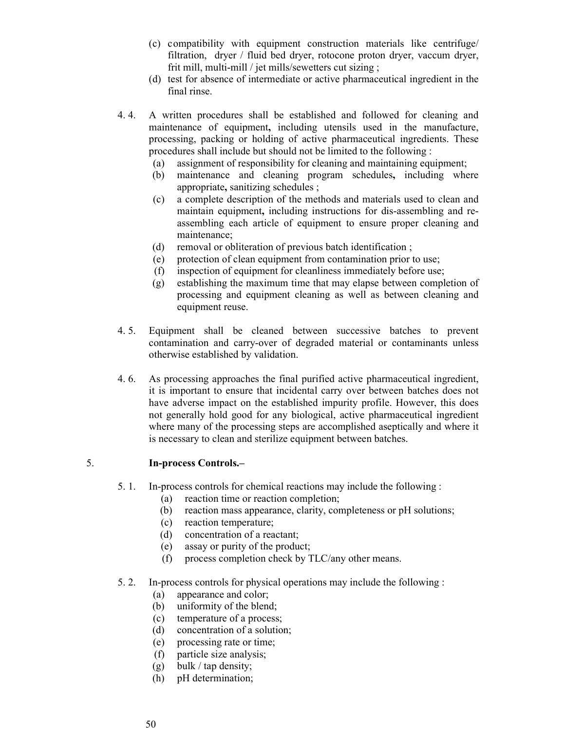- (c) compatibility with equipment construction materials like centrifuge/ filtration, dryer / fluid bed dryer, rotocone proton dryer, vaccum dryer, frit mill, multi-mill / jet mills/sewetters cut sizing ;
- (d) test for absence of intermediate or active pharmaceutical ingredient in the final rinse.
- 4. 4. A written procedures shall be established and followed for cleaning and maintenance of equipment, including utensils used in the manufacture, processing, packing or holding of active pharmaceutical ingredients. These procedures shall include but should not be limited to the following :
	- (a) assignment of responsibility for cleaning and maintaining equipment;
	- (b) maintenance and cleaning program schedules, including where appropriate, sanitizing schedules ;
	- (c) a complete description of the methods and materials used to clean and maintain equipment, including instructions for dis-assembling and reassembling each article of equipment to ensure proper cleaning and maintenance;
	- (d) removal or obliteration of previous batch identification ;
	- (e) protection of clean equipment from contamination prior to use;
	- (f) inspection of equipment for cleanliness immediately before use;
	- (g) establishing the maximum time that may elapse between completion of processing and equipment cleaning as well as between cleaning and equipment reuse.
- 4. 5. Equipment shall be cleaned between successive batches to prevent contamination and carry-over of degraded material or contaminants unless otherwise established by validation.
- 4. 6. As processing approaches the final purified active pharmaceutical ingredient, it is important to ensure that incidental carry over between batches does not have adverse impact on the established impurity profile. However, this does not generally hold good for any biological, active pharmaceutical ingredient where many of the processing steps are accomplished aseptically and where it is necessary to clean and sterilize equipment between batches.

### 5. In-process Controls.–

- 5. 1. In-process controls for chemical reactions may include the following :
	- (a) reaction time or reaction completion;
	- (b) reaction mass appearance, clarity, completeness or pH solutions;
	- (c) reaction temperature;
	- (d) concentration of a reactant;
	- (e) assay or purity of the product;
	- (f) process completion check by TLC/any other means.
- 5. 2. In-process controls for physical operations may include the following :
	- (a) appearance and color;
	- (b) uniformity of the blend;
	- (c) temperature of a process;
	- (d) concentration of a solution;
	- (e) processing rate or time;
	- (f) particle size analysis;
	- (g) bulk / tap density;
	- (h) pH determination;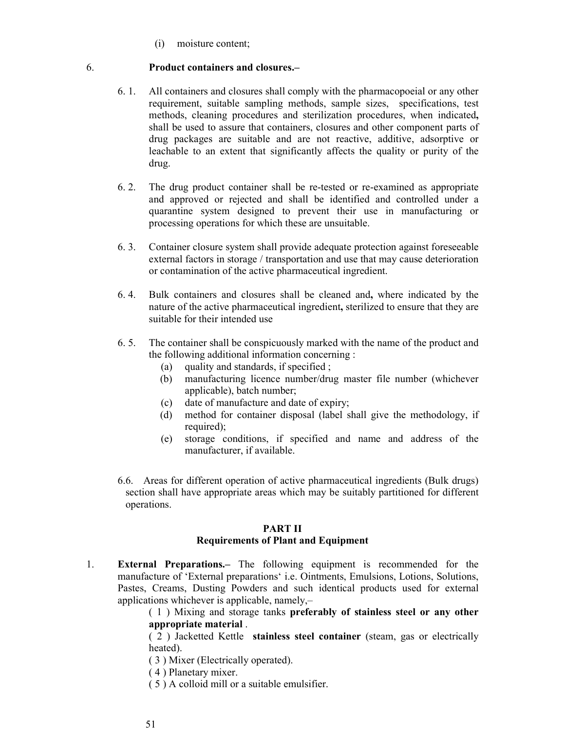(i) moisture content;

### 6. Product containers and closures.–

- 6. 1. All containers and closures shall comply with the pharmacopoeial or any other requirement, suitable sampling methods, sample sizes, specifications, test methods, cleaning procedures and sterilization procedures, when indicated, shall be used to assure that containers, closures and other component parts of drug packages are suitable and are not reactive, additive, adsorptive or leachable to an extent that significantly affects the quality or purity of the drug.
- 6. 2. The drug product container shall be re-tested or re-examined as appropriate and approved or rejected and shall be identified and controlled under a quarantine system designed to prevent their use in manufacturing or processing operations for which these are unsuitable.
- 6. 3. Container closure system shall provide adequate protection against foreseeable external factors in storage / transportation and use that may cause deterioration or contamination of the active pharmaceutical ingredient.
- 6. 4. Bulk containers and closures shall be cleaned and, where indicated by the nature of the active pharmaceutical ingredient, sterilized to ensure that they are suitable for their intended use
- 6. 5. The container shall be conspicuously marked with the name of the product and the following additional information concerning :
	- (a) quality and standards, if specified ;
	- (b) manufacturing licence number/drug master file number (whichever applicable), batch number;
	- (c) date of manufacture and date of expiry;
	- (d) method for container disposal (label shall give the methodology, if required);
	- (e) storage conditions, if specified and name and address of the manufacturer, if available.
- 6.6. Areas for different operation of active pharmaceutical ingredients (Bulk drugs) section shall have appropriate areas which may be suitably partitioned for different operations.

# PART II Requirements of Plant and Equipment

1. External Preparations.– The following equipment is recommended for the manufacture of 'External preparations' i.e. Ointments, Emulsions, Lotions, Solutions, Pastes, Creams, Dusting Powders and such identical products used for external applications whichever is applicable, namely,–

( 1 ) Mixing and storage tanks preferably of stainless steel or any other appropriate material .

( 2 ) Jacketted Kettle stainless steel container (steam, gas or electrically heated).

( 3 ) Mixer (Electrically operated).

( 4 ) Planetary mixer.

( 5 ) A colloid mill or a suitable emulsifier.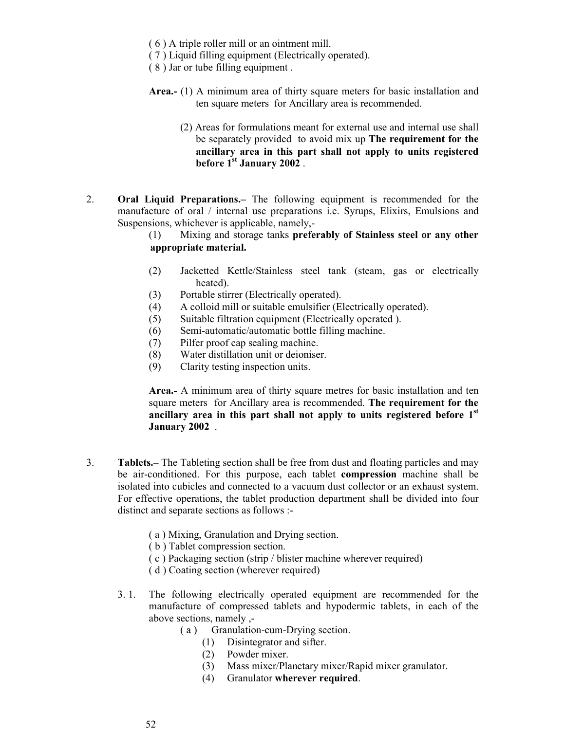- ( 6 ) A triple roller mill or an ointment mill.
- ( 7 ) Liquid filling equipment (Electrically operated).
- ( 8 ) Jar or tube filling equipment .
- Area.- (1) A minimum area of thirty square meters for basic installation and ten square meters for Ancillary area is recommended.
	- (2) Areas for formulations meant for external use and internal use shall be separately provided to avoid mix up The requirement for the ancillary area in this part shall not apply to units registered before  $1^{st}$  January 2002.
- 2. Oral Liquid Preparations.– The following equipment is recommended for the manufacture of oral / internal use preparations i.e. Syrups, Elixirs, Emulsions and Suspensions, whichever is applicable, namely,-
	- (1) Mixing and storage tanks preferably of Stainless steel or any other appropriate material.
	- (2) Jacketted Kettle/Stainless steel tank (steam, gas or electrically heated).
	- (3) Portable stirrer (Electrically operated).
	- (4) A colloid mill or suitable emulsifier (Electrically operated).
	- (5) Suitable filtration equipment (Electrically operated ).
	- (6) Semi-automatic/automatic bottle filling machine.
	- (7) Pilfer proof cap sealing machine.
	- (8) Water distillation unit or deioniser.
	- (9) Clarity testing inspection units.

Area.- A minimum area of thirty square metres for basic installation and ten square meters for Ancillary area is recommended. The requirement for the ancillary area in this part shall not apply to units registered before  $1<sup>st</sup>$ January 2002 .

- 3. Tablets.– The Tableting section shall be free from dust and floating particles and may be air-conditioned. For this purpose, each tablet compression machine shall be isolated into cubicles and connected to a vacuum dust collector or an exhaust system. For effective operations, the tablet production department shall be divided into four distinct and separate sections as follows :-
	- ( a ) Mixing, Granulation and Drying section.
	- ( b ) Tablet compression section.
	- ( c ) Packaging section (strip / blister machine wherever required)
	- ( d ) Coating section (wherever required)
	- 3. 1. The following electrically operated equipment are recommended for the manufacture of compressed tablets and hypodermic tablets, in each of the above sections, namely ,-
		- ( a ) Granulation-cum-Drying section.
			- (1) Disintegrator and sifter.
			- (2) Powder mixer.
			- (3) Mass mixer/Planetary mixer/Rapid mixer granulator.
			- (4) Granulator wherever required.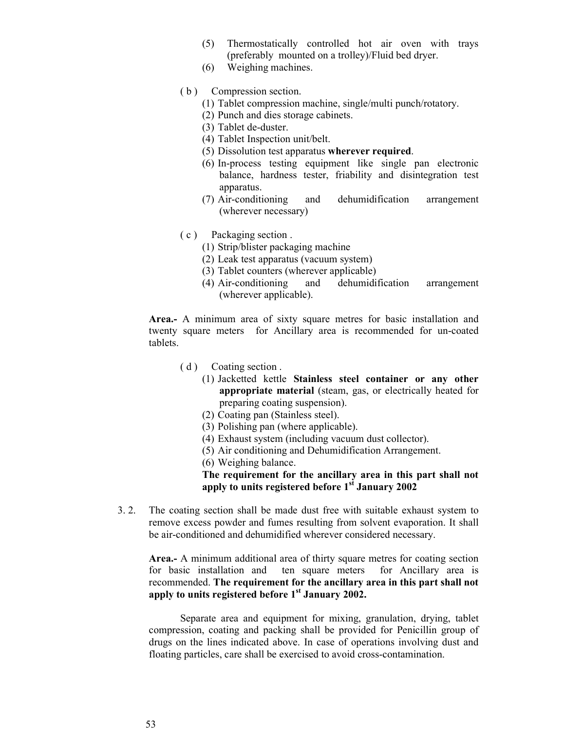- (5) Thermostatically controlled hot air oven with trays (preferably mounted on a trolley)/Fluid bed dryer.
- (6) Weighing machines.
- ( b ) Compression section.
	- (1) Tablet compression machine, single/multi punch/rotatory.
	- (2) Punch and dies storage cabinets.
	- (3) Tablet de-duster.
	- (4) Tablet Inspection unit/belt.
	- (5) Dissolution test apparatus wherever required.
	- (6) In-process testing equipment like single pan electronic balance, hardness tester, friability and disintegration test apparatus.
	- (7) Air-conditioning and dehumidification arrangement (wherever necessary)
- ( c ) Packaging section .
	- (1) Strip/blister packaging machine
	- (2) Leak test apparatus (vacuum system)
	- (3) Tablet counters (wherever applicable)
	- (4) Air-conditioning and dehumidification arrangement (wherever applicable).

Area.- A minimum area of sixty square metres for basic installation and twenty square meters for Ancillary area is recommended for un-coated tablets.

- ( d ) Coating section .
	- (1) Jacketted kettle Stainless steel container or any other appropriate material (steam, gas, or electrically heated for preparing coating suspension).
	- (2) Coating pan (Stainless steel).
	- (3) Polishing pan (where applicable).
	- (4) Exhaust system (including vacuum dust collector).
	- (5) Air conditioning and Dehumidification Arrangement.
	- (6) Weighing balance.

The requirement for the ancillary area in this part shall not apply to units registered before  $1<sup>st</sup>$  January 2002

3. 2. The coating section shall be made dust free with suitable exhaust system to remove excess powder and fumes resulting from solvent evaporation. It shall be air-conditioned and dehumidified wherever considered necessary.

Area.- A minimum additional area of thirty square metres for coating section for basic installation and ten square meters for Ancillary area is recommended. The requirement for the ancillary area in this part shall not apply to units registered before 1<sup>st</sup> January 2002.

 Separate area and equipment for mixing, granulation, drying, tablet compression, coating and packing shall be provided for Penicillin group of drugs on the lines indicated above. In case of operations involving dust and floating particles, care shall be exercised to avoid cross-contamination.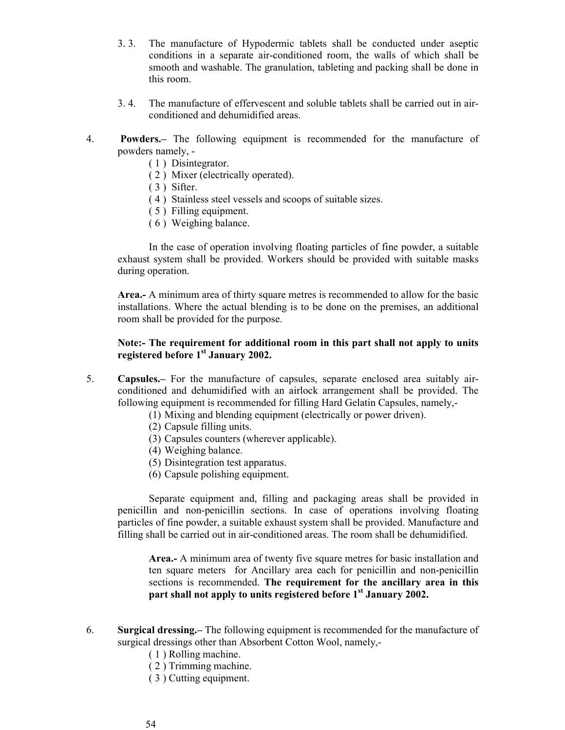- 3. 3. The manufacture of Hypodermic tablets shall be conducted under aseptic conditions in a separate air-conditioned room, the walls of which shall be smooth and washable. The granulation, tableting and packing shall be done in this room.
- 3. 4. The manufacture of effervescent and soluble tablets shall be carried out in airconditioned and dehumidified areas.
- 4. Powders.– The following equipment is recommended for the manufacture of powders namely, -
	- ( 1 ) Disintegrator.
	- ( 2 ) Mixer (electrically operated).
	- ( 3 ) Sifter.
	- ( 4 ) Stainless steel vessels and scoops of suitable sizes.
	- ( 5 ) Filling equipment.
	- ( 6 ) Weighing balance.

In the case of operation involving floating particles of fine powder, a suitable exhaust system shall be provided. Workers should be provided with suitable masks during operation.

Area.- A minimum area of thirty square metres is recommended to allow for the basic installations. Where the actual blending is to be done on the premises, an additional room shall be provided for the purpose.

### Note:- The requirement for additional room in this part shall not apply to units registered before 1<sup>st</sup> January 2002.

- 5. Capsules.– For the manufacture of capsules, separate enclosed area suitably airconditioned and dehumidified with an airlock arrangement shall be provided. The following equipment is recommended for filling Hard Gelatin Capsules, namely,-
	- (1) Mixing and blending equipment (electrically or power driven).
	- (2) Capsule filling units.
	- (3) Capsules counters (wherever applicable).
	- (4) Weighing balance.
	- (5) Disintegration test apparatus.
	- (6) Capsule polishing equipment.

Separate equipment and, filling and packaging areas shall be provided in penicillin and non-penicillin sections. In case of operations involving floating particles of fine powder, a suitable exhaust system shall be provided. Manufacture and filling shall be carried out in air-conditioned areas. The room shall be dehumidified.

Area.- A minimum area of twenty five square metres for basic installation and ten square meters for Ancillary area each for penicillin and non-penicillin sections is recommended. The requirement for the ancillary area in this part shall not apply to units registered before  $1<sup>st</sup>$  January 2002.

- 6. Surgical dressing.– The following equipment is recommended for the manufacture of surgical dressings other than Absorbent Cotton Wool, namely,-
	- ( 1 ) Rolling machine.
	- ( 2 ) Trimming machine.
	- ( 3 ) Cutting equipment.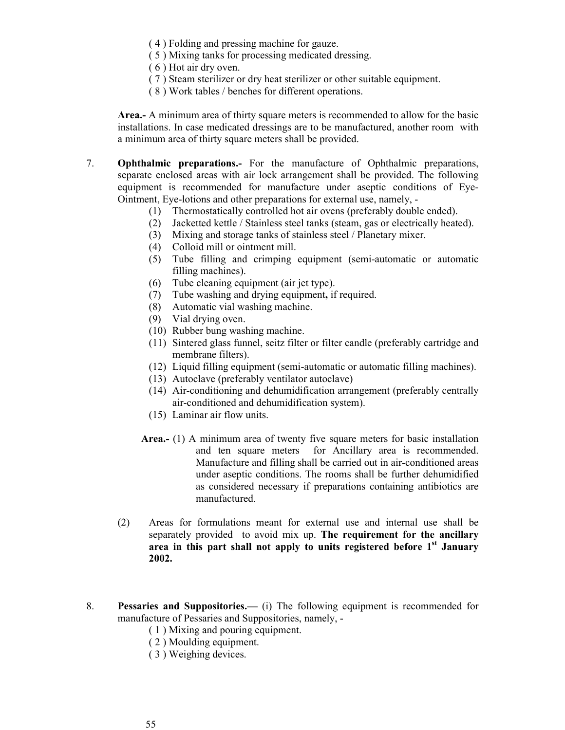- ( 4 ) Folding and pressing machine for gauze.
- ( 5 ) Mixing tanks for processing medicated dressing.
- ( 6 ) Hot air dry oven.
- ( 7 ) Steam sterilizer or dry heat sterilizer or other suitable equipment.
- ( 8 ) Work tables / benches for different operations.

Area.- A minimum area of thirty square meters is recommended to allow for the basic installations. In case medicated dressings are to be manufactured, another room with a minimum area of thirty square meters shall be provided.

- 7. Ophthalmic preparations.- For the manufacture of Ophthalmic preparations, separate enclosed areas with air lock arrangement shall be provided. The following equipment is recommended for manufacture under aseptic conditions of Eye-Ointment, Eye-lotions and other preparations for external use, namely, -
	- (1) Thermostatically controlled hot air ovens (preferably double ended).
	- (2) Jacketted kettle / Stainless steel tanks (steam, gas or electrically heated).
	- (3) Mixing and storage tanks of stainless steel / Planetary mixer.
	- (4) Colloid mill or ointment mill.
	- (5) Tube filling and crimping equipment (semi-automatic or automatic filling machines).
	- (6) Tube cleaning equipment (air jet type).
	- (7) Tube washing and drying equipment, if required.
	- (8) Automatic vial washing machine.
	- (9) Vial drying oven.
	- (10) Rubber bung washing machine.
	- (11) Sintered glass funnel, seitz filter or filter candle (preferably cartridge and membrane filters).
	- (12) Liquid filling equipment (semi-automatic or automatic filling machines).
	- (13) Autoclave (preferably ventilator autoclave)
	- (14) Air-conditioning and dehumidification arrangement (preferably centrally air-conditioned and dehumidification system).
	- (15) Laminar air flow units.
	- Area.- (1) A minimum area of twenty five square meters for basic installation and ten square meters for Ancillary area is recommended. Manufacture and filling shall be carried out in air-conditioned areas under aseptic conditions. The rooms shall be further dehumidified as considered necessary if preparations containing antibiotics are manufactured.
	- (2) Areas for formulations meant for external use and internal use shall be separately provided to avoid mix up. The requirement for the ancillary area in this part shall not apply to units registered before  $1<sup>st</sup>$  January 2002.
- 8. Pessaries and Suppositories.— (i) The following equipment is recommended for manufacture of Pessaries and Suppositories, namely, -
	- ( 1 ) Mixing and pouring equipment.
	- ( 2 ) Moulding equipment.
	- ( 3 ) Weighing devices.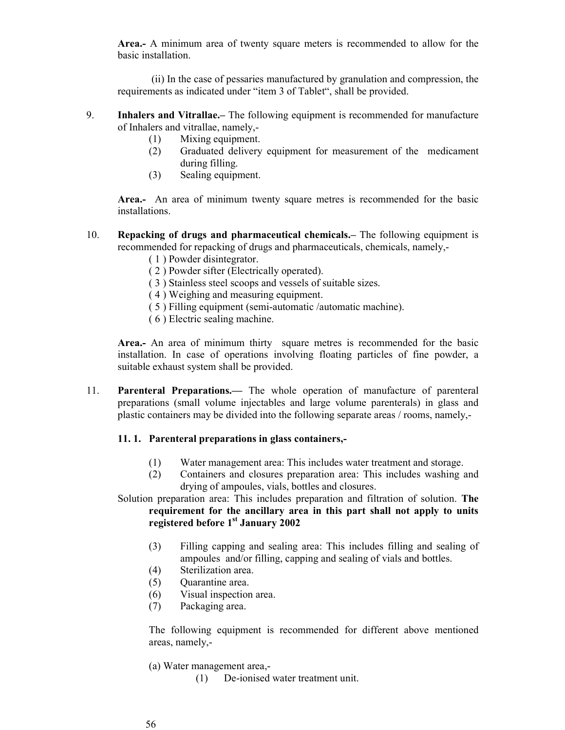Area.- A minimum area of twenty square meters is recommended to allow for the basic installation.

 (ii) In the case of pessaries manufactured by granulation and compression, the requirements as indicated under "item 3 of Tablet", shall be provided.

- 9. Inhalers and Vitrallae.– The following equipment is recommended for manufacture of Inhalers and vitrallae, namely,-
	- (1) Mixing equipment.
	- (2) Graduated delivery equipment for measurement of the medicament during filling.
	- (3) Sealing equipment.

Area.- An area of minimum twenty square metres is recommended for the basic installations.

- 10. Repacking of drugs and pharmaceutical chemicals.– The following equipment is recommended for repacking of drugs and pharmaceuticals, chemicals, namely,-
	- ( 1 ) Powder disintegrator.
	- ( 2 ) Powder sifter (Electrically operated).
	- ( 3 ) Stainless steel scoops and vessels of suitable sizes.
	- ( 4 ) Weighing and measuring equipment.
	- ( 5 ) Filling equipment (semi-automatic /automatic machine).
	- ( 6 ) Electric sealing machine.

Area.- An area of minimum thirty square metres is recommended for the basic installation. In case of operations involving floating particles of fine powder, a suitable exhaust system shall be provided.

11. Parenteral Preparations.— The whole operation of manufacture of parenteral preparations (small volume injectables and large volume parenterals) in glass and plastic containers may be divided into the following separate areas / rooms, namely,-

### 11. 1. Parenteral preparations in glass containers,-

- (1) Water management area: This includes water treatment and storage.
- (2) Containers and closures preparation area: This includes washing and drying of ampoules, vials, bottles and closures.

Solution preparation area: This includes preparation and filtration of solution. The requirement for the ancillary area in this part shall not apply to units registered before 1<sup>st</sup> January 2002

- (3) Filling capping and sealing area: This includes filling and sealing of ampoules and/or filling, capping and sealing of vials and bottles.
- (4) Sterilization area.
- (5) Quarantine area.
- (6) Visual inspection area.
- (7) Packaging area.

The following equipment is recommended for different above mentioned areas, namely,-

(a) Water management area,-

(1) De-ionised water treatment unit.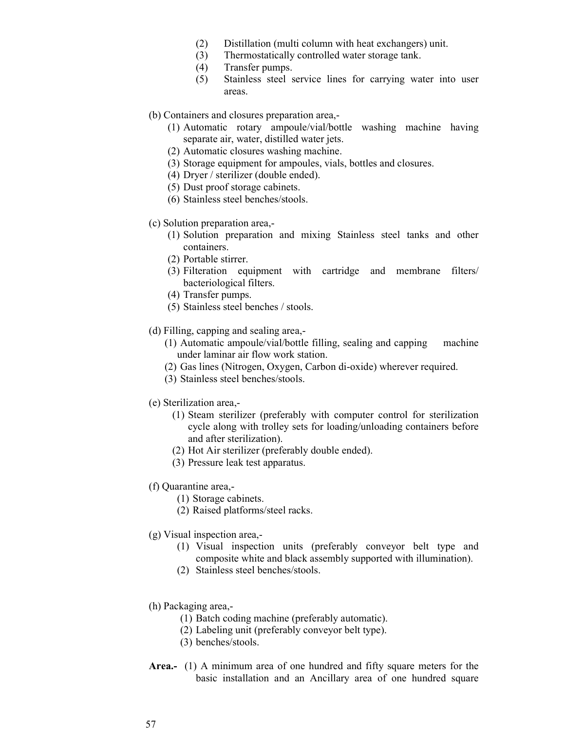- (2) Distillation (multi column with heat exchangers) unit.
- (3) Thermostatically controlled water storage tank.
- (4) Transfer pumps.
- (5) Stainless steel service lines for carrying water into user areas.
- (b) Containers and closures preparation area,-
	- (1) Automatic rotary ampoule/vial/bottle washing machine having separate air, water, distilled water jets.
	- (2) Automatic closures washing machine.
	- (3) Storage equipment for ampoules, vials, bottles and closures.
	- (4) Dryer / sterilizer (double ended).
	- (5) Dust proof storage cabinets.
	- (6) Stainless steel benches/stools.
- (c) Solution preparation area,-
	- (1) Solution preparation and mixing Stainless steel tanks and other containers.
	- (2) Portable stirrer.
	- (3) Filteration equipment with cartridge and membrane filters/ bacteriological filters.
	- (4) Transfer pumps.
	- (5) Stainless steel benches / stools.
- (d) Filling, capping and sealing area,-
	- (1) Automatic ampoule/vial/bottle filling, sealing and capping machine under laminar air flow work station.
	- (2) Gas lines (Nitrogen, Oxygen, Carbon di-oxide) wherever required.
	- (3) Stainless steel benches/stools.
- (e) Sterilization area,-
	- (1) Steam sterilizer (preferably with computer control for sterilization cycle along with trolley sets for loading/unloading containers before and after sterilization).
	- (2) Hot Air sterilizer (preferably double ended).
	- (3) Pressure leak test apparatus.
- (f) Quarantine area,-
	- (1) Storage cabinets.
	- (2) Raised platforms/steel racks.
- (g) Visual inspection area,-
	- (1) Visual inspection units (preferably conveyor belt type and composite white and black assembly supported with illumination).
	- (2) Stainless steel benches/stools.
- (h) Packaging area,-
	- (1) Batch coding machine (preferably automatic).
	- (2) Labeling unit (preferably conveyor belt type).
	- (3) benches/stools.
- Area.- (1) A minimum area of one hundred and fifty square meters for the basic installation and an Ancillary area of one hundred square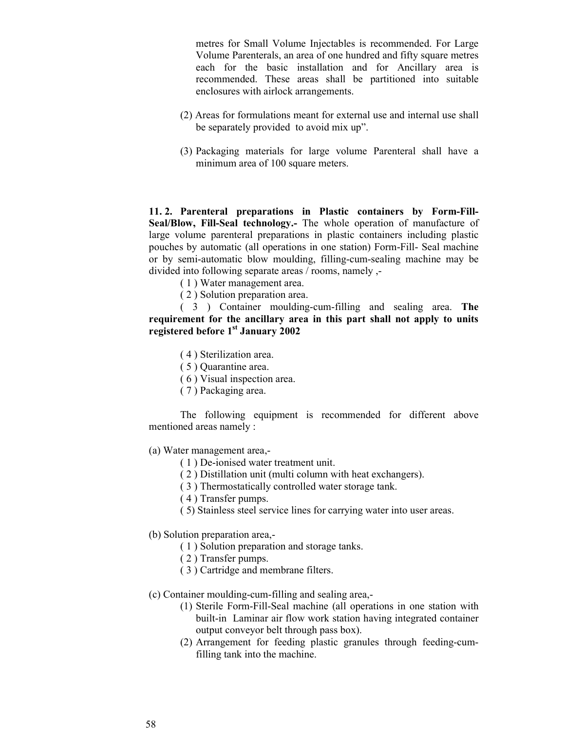metres for Small Volume Injectables is recommended. For Large Volume Parenterals, an area of one hundred and fifty square metres each for the basic installation and for Ancillary area is recommended. These areas shall be partitioned into suitable enclosures with airlock arrangements.

- (2) Areas for formulations meant for external use and internal use shall be separately provided to avoid mix up".
- (3) Packaging materials for large volume Parenteral shall have a minimum area of 100 square meters.

11. 2. Parenteral preparations in Plastic containers by Form-Fill-Seal/Blow, Fill-Seal technology.- The whole operation of manufacture of large volume parenteral preparations in plastic containers including plastic pouches by automatic (all operations in one station) Form-Fill- Seal machine or by semi-automatic blow moulding, filling-cum-sealing machine may be divided into following separate areas / rooms, namely ,-

- ( 1 ) Water management area.
- ( 2 ) Solution preparation area.

 ( 3 ) Container moulding-cum-filling and sealing area. The requirement for the ancillary area in this part shall not apply to units registered before 1<sup>st</sup> January 2002

- ( 4 ) Sterilization area.
- ( 5 ) Quarantine area.
- ( 6 ) Visual inspection area.
- ( 7 ) Packaging area.

 The following equipment is recommended for different above mentioned areas namely :

(a) Water management area,-

- ( 1 ) De-ionised water treatment unit.
- ( 2 ) Distillation unit (multi column with heat exchangers).
- ( 3 ) Thermostatically controlled water storage tank.
- ( 4 ) Transfer pumps.
- ( 5) Stainless steel service lines for carrying water into user areas.

(b) Solution preparation area,-

- ( 1 ) Solution preparation and storage tanks.
- ( 2 ) Transfer pumps.
- ( 3 ) Cartridge and membrane filters.
- (c) Container moulding-cum-filling and sealing area,-
	- (1) Sterile Form-Fill-Seal machine (all operations in one station with built-in Laminar air flow work station having integrated container output conveyor belt through pass box).
	- (2) Arrangement for feeding plastic granules through feeding-cumfilling tank into the machine.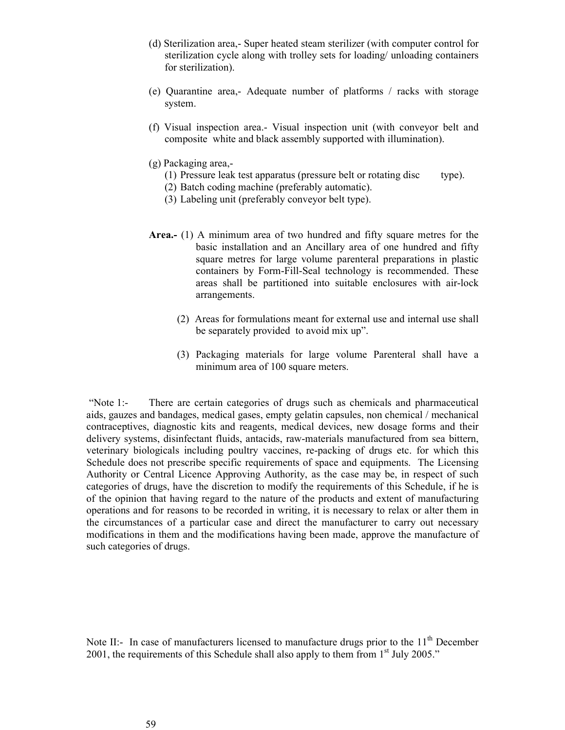- (d) Sterilization area,- Super heated steam sterilizer (with computer control for sterilization cycle along with trolley sets for loading/ unloading containers for sterilization).
- (e) Quarantine area,- Adequate number of platforms / racks with storage system.
- (f) Visual inspection area.- Visual inspection unit (with conveyor belt and composite white and black assembly supported with illumination).
- (g) Packaging area,-
	- (1) Pressure leak test apparatus (pressure belt or rotating disc type).
	- (2) Batch coding machine (preferably automatic).
	- (3) Labeling unit (preferably conveyor belt type).
- Area.- (1) A minimum area of two hundred and fifty square metres for the basic installation and an Ancillary area of one hundred and fifty square metres for large volume parenteral preparations in plastic containers by Form-Fill-Seal technology is recommended. These areas shall be partitioned into suitable enclosures with air-lock arrangements.
	- (2) Areas for formulations meant for external use and internal use shall be separately provided to avoid mix up".
	- (3) Packaging materials for large volume Parenteral shall have a minimum area of 100 square meters.

 "Note 1:- There are certain categories of drugs such as chemicals and pharmaceutical aids, gauzes and bandages, medical gases, empty gelatin capsules, non chemical / mechanical contraceptives, diagnostic kits and reagents, medical devices, new dosage forms and their delivery systems, disinfectant fluids, antacids, raw-materials manufactured from sea bittern, veterinary biologicals including poultry vaccines, re-packing of drugs etc. for which this Schedule does not prescribe specific requirements of space and equipments. The Licensing Authority or Central Licence Approving Authority, as the case may be, in respect of such categories of drugs, have the discretion to modify the requirements of this Schedule, if he is of the opinion that having regard to the nature of the products and extent of manufacturing operations and for reasons to be recorded in writing, it is necessary to relax or alter them in the circumstances of a particular case and direct the manufacturer to carry out necessary modifications in them and the modifications having been made, approve the manufacture of such categories of drugs.

Note II:- In case of manufacturers licensed to manufacture drugs prior to the  $11<sup>th</sup>$  December 2001, the requirements of this Schedule shall also apply to them from  $1<sup>st</sup>$  July 2005."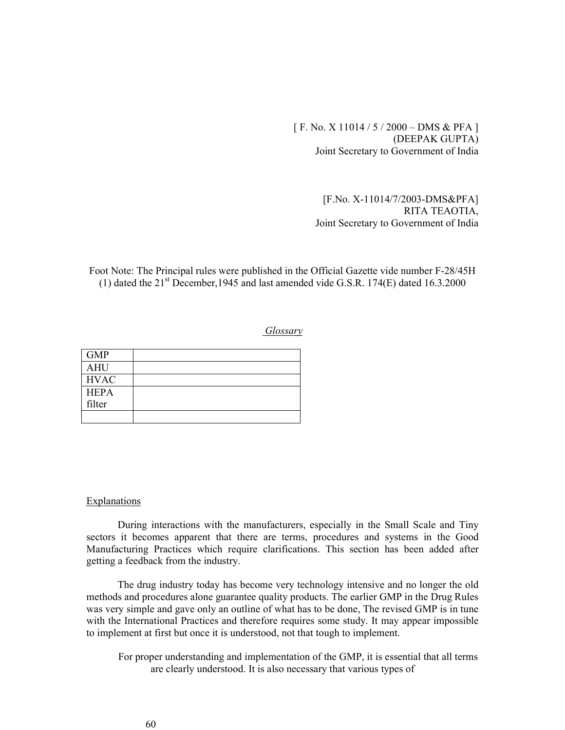### [ F. No. X 11014 / 5 / 2000 – DMS & PFA ] (DEEPAK GUPTA) Joint Secretary to Government of India

 [F.No. X-11014/7/2003-DMS&PFA] RITA TEAOTIA, Joint Secretary to Government of India

### Foot Note: The Principal rules were published in the Official Gazette vide number F-28/45H (1) dated the  $21<sup>st</sup>$  December, 1945 and last amended vide G.S.R. 174(E) dated 16.3.2000

#### *Glossary*

| <b>GMP</b>  |  |
|-------------|--|
| <b>AHU</b>  |  |
| <b>HVAC</b> |  |
| <b>HEPA</b> |  |
| filter      |  |
|             |  |

#### **Explanations**

 During interactions with the manufacturers, especially in the Small Scale and Tiny sectors it becomes apparent that there are terms, procedures and systems in the Good Manufacturing Practices which require clarifications. This section has been added after getting a feedback from the industry.

 The drug industry today has become very technology intensive and no longer the old methods and procedures alone guarantee quality products. The earlier GMP in the Drug Rules was very simple and gave only an outline of what has to be done, The revised GMP is in tune with the International Practices and therefore requires some study. It may appear impossible to implement at first but once it is understood, not that tough to implement.

 For proper understanding and implementation of the GMP, it is essential that all terms are clearly understood. It is also necessary that various types of